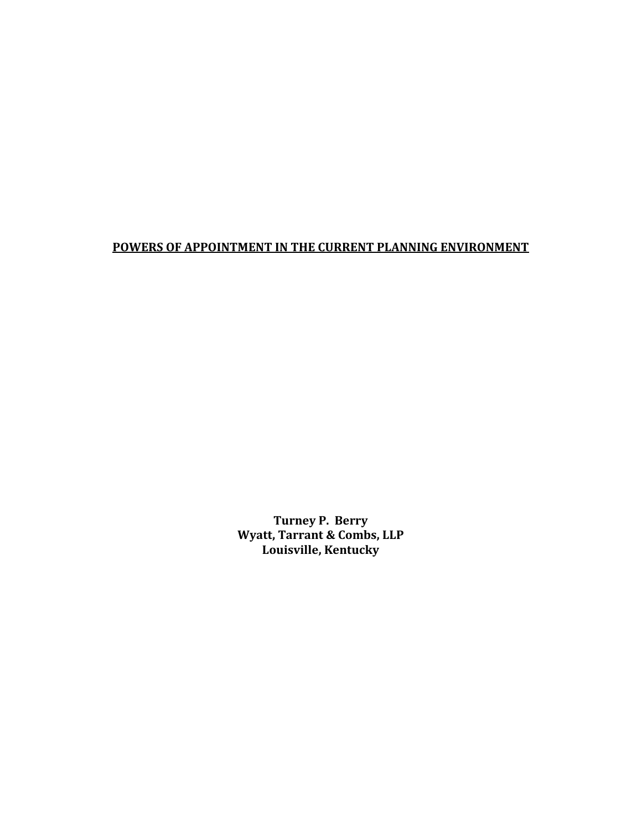# **POWERS OF APPOINTMENT IN THE CURRENT PLANNING ENVIRONMENT**

**Turney P. Berry Wyatt, Tarrant & Combs, LLP Louisville, Kentucky**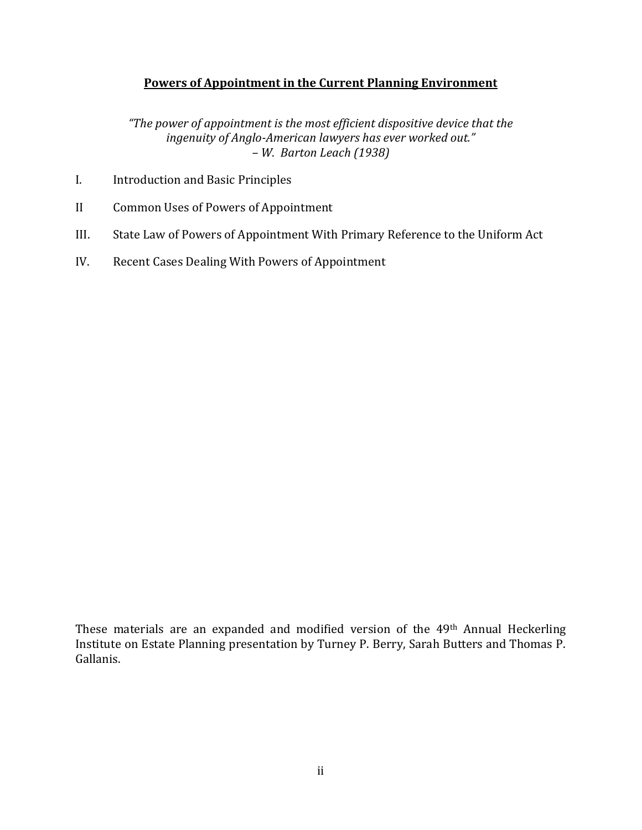# **Powers of Appointment in the Current Planning Environment**

*"The power of appointment is the most efficient dispositive device that the ingenuity of Anglo-American lawyers has ever worked out." – W. Barton Leach (1938)*

- I. Introduction and Basic Principles
- II Common Uses of Powers of Appointment
- III. State Law of Powers of Appointment With Primary Reference to the Uniform Act
- IV. Recent Cases Dealing With Powers of Appointment

These materials are an expanded and modified version of the 49th Annual Heckerling Institute on Estate Planning presentation by Turney P. Berry, Sarah Butters and Thomas P. Gallanis.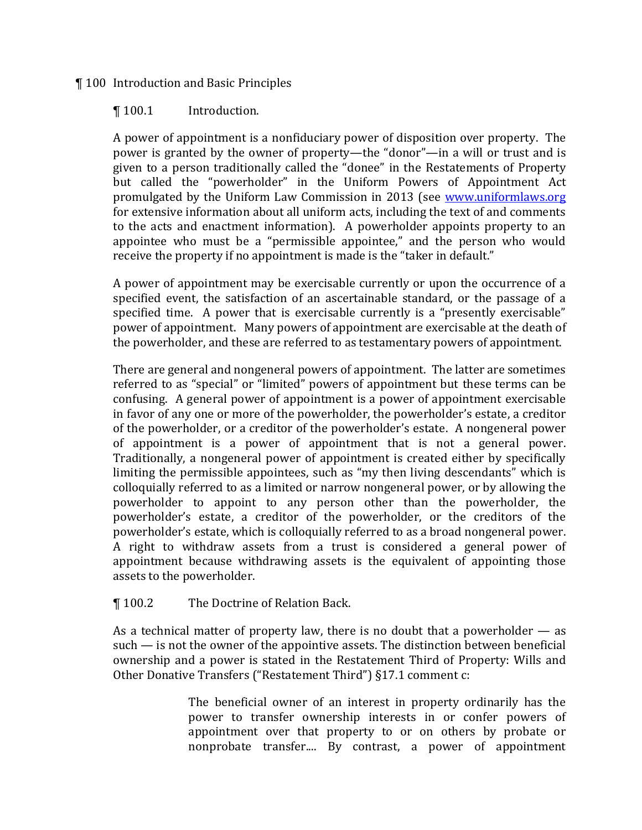### ¶ 100 Introduction and Basic Principles

# ¶ 100.1 Introduction.

A power of appointment is a nonfiduciary power of disposition over property. The power is granted by the owner of property—the "donor"—in a will or trust and is given to a person traditionally called the "donee" in the Restatements of Property but called the "powerholder" in the Uniform Powers of Appointment Act promulgated by the Uniform Law Commission in 2013 (see [www.uniformlaws.org](http://www.uniformlaws.org/) for extensive information about all uniform acts, including the text of and comments to the acts and enactment information). A powerholder appoints property to an appointee who must be a "permissible appointee," and the person who would receive the property if no appointment is made is the "taker in default."

A power of appointment may be exercisable currently or upon the occurrence of a specified event, the satisfaction of an ascertainable standard, or the passage of a specified time. A power that is exercisable currently is a "presently exercisable" power of appointment. Many powers of appointment are exercisable at the death of the powerholder, and these are referred to as testamentary powers of appointment.

There are general and nongeneral powers of appointment. The latter are sometimes referred to as "special" or "limited" powers of appointment but these terms can be confusing. A general power of appointment is a power of appointment exercisable in favor of any one or more of the powerholder, the powerholder's estate, a creditor of the powerholder, or a creditor of the powerholder's estate. A nongeneral power of appointment is a power of appointment that is not a general power. Traditionally, a nongeneral power of appointment is created either by specifically limiting the permissible appointees, such as "my then living descendants" which is colloquially referred to as a limited or narrow nongeneral power, or by allowing the powerholder to appoint to any person other than the powerholder, the powerholder's estate, a creditor of the powerholder, or the creditors of the powerholder's estate, which is colloquially referred to as a broad nongeneral power. A right to withdraw assets from a trust is considered a general power of appointment because withdrawing assets is the equivalent of appointing those assets to the powerholder.

## ¶ 100.2 The Doctrine of Relation Back.

As a technical matter of property law, there is no doubt that a powerholder — as such — is not the owner of the appointive assets. The distinction between beneficial ownership and a power is stated in the Restatement Third of Property: Wills and Other Donative Transfers ("Restatement Third") §17.1 comment c:

> The beneficial owner of an interest in property ordinarily has the power to transfer ownership interests in or confer powers of appointment over that property to or on others by probate or nonprobate transfer.... By contrast, a power of appointment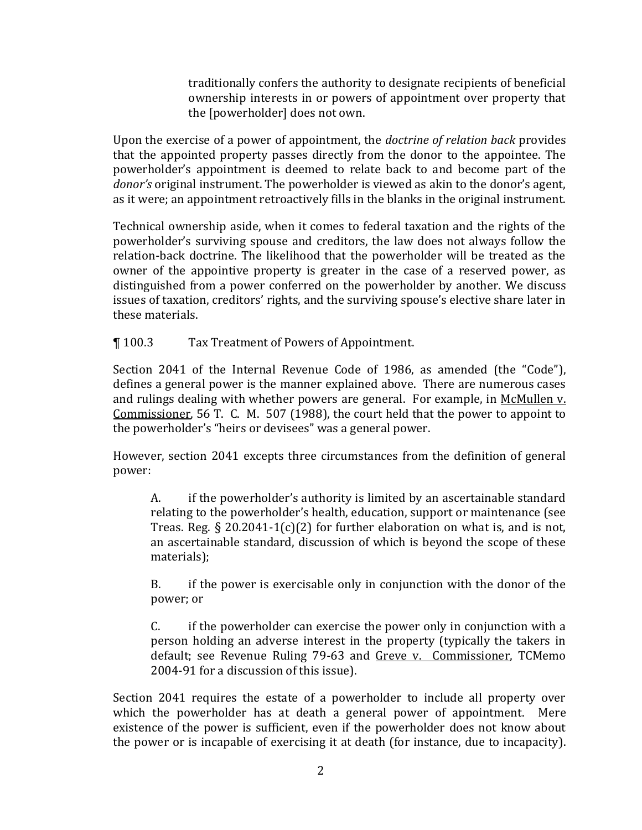traditionally confers the authority to designate recipients of beneficial ownership interests in or powers of appointment over property that the [powerholder] does not own.

Upon the exercise of a power of appointment, the *doctrine of relation back* provides that the appointed property passes directly from the donor to the appointee. The powerholder's appointment is deemed to relate back to and become part of the *donor's* original instrument. The powerholder is viewed as akin to the donor's agent, as it were; an appointment retroactively fills in the blanks in the original instrument.

Technical ownership aside, when it comes to federal taxation and the rights of the powerholder's surviving spouse and creditors, the law does not always follow the relation-back doctrine. The likelihood that the powerholder will be treated as the owner of the appointive property is greater in the case of a reserved power, as distinguished from a power conferred on the powerholder by another. We discuss issues of taxation, creditors' rights, and the surviving spouse's elective share later in these materials.

¶ 100.3 Tax Treatment of Powers of Appointment.

Section 2041 of the Internal Revenue Code of 1986, as amended (the "Code"), defines a general power is the manner explained above. There are numerous cases and rulings dealing with whether powers are general. For example, in McMullen v. Commissioner, 56 T. C. M. 507 (1988), the court held that the power to appoint to the powerholder's "heirs or devisees" was a general power.

However, section 2041 excepts three circumstances from the definition of general power:

A. if the powerholder's authority is limited by an ascertainable standard relating to the powerholder's health, education, support or maintenance (see Treas. Reg. § 20.2041-1(c)(2) for further elaboration on what is, and is not, an ascertainable standard, discussion of which is beyond the scope of these materials);

B. if the power is exercisable only in conjunction with the donor of the power; or

C. if the powerholder can exercise the power only in conjunction with a person holding an adverse interest in the property (typically the takers in default; see Revenue Ruling 79-63 and Greve v. Commissioner, TCMemo 2004-91 for a discussion of this issue).

Section 2041 requires the estate of a powerholder to include all property over which the powerholder has at death a general power of appointment. Mere existence of the power is sufficient, even if the powerholder does not know about the power or is incapable of exercising it at death (for instance, due to incapacity).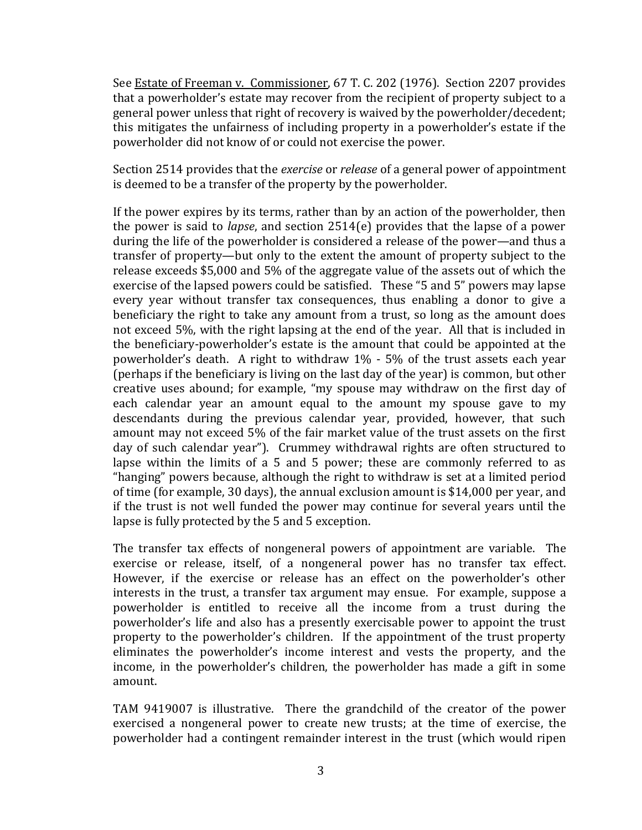See Estate of Freeman v. Commissioner, 67 T. C. 202 (1976). Section 2207 provides that a powerholder's estate may recover from the recipient of property subject to a general power unless that right of recovery is waived by the powerholder/decedent; this mitigates the unfairness of including property in a powerholder's estate if the powerholder did not know of or could not exercise the power.

Section 2514 provides that the *exercise* or *release* of a general power of appointment is deemed to be a transfer of the property by the powerholder.

If the power expires by its terms, rather than by an action of the powerholder, then the power is said to *lapse*, and section 2514(e) provides that the lapse of a power during the life of the powerholder is considered a release of the power—and thus a transfer of property—but only to the extent the amount of property subject to the release exceeds \$5,000 and 5% of the aggregate value of the assets out of which the exercise of the lapsed powers could be satisfied. These "5 and 5" powers may lapse every year without transfer tax consequences, thus enabling a donor to give a beneficiary the right to take any amount from a trust, so long as the amount does not exceed 5%, with the right lapsing at the end of the year. All that is included in the beneficiary-powerholder's estate is the amount that could be appointed at the powerholder's death. A right to withdraw 1% - 5% of the trust assets each year (perhaps if the beneficiary is living on the last day of the year) is common, but other creative uses abound; for example, "my spouse may withdraw on the first day of each calendar year an amount equal to the amount my spouse gave to my descendants during the previous calendar year, provided, however, that such amount may not exceed 5% of the fair market value of the trust assets on the first day of such calendar year"). Crummey withdrawal rights are often structured to lapse within the limits of a 5 and 5 power; these are commonly referred to as "hanging" powers because, although the right to withdraw is set at a limited period of time (for example, 30 days), the annual exclusion amount is \$14,000 per year, and if the trust is not well funded the power may continue for several years until the lapse is fully protected by the 5 and 5 exception.

The transfer tax effects of nongeneral powers of appointment are variable. The exercise or release, itself, of a nongeneral power has no transfer tax effect. However, if the exercise or release has an effect on the powerholder's other interests in the trust, a transfer tax argument may ensue. For example, suppose a powerholder is entitled to receive all the income from a trust during the powerholder's life and also has a presently exercisable power to appoint the trust property to the powerholder's children. If the appointment of the trust property eliminates the powerholder's income interest and vests the property, and the income, in the powerholder's children, the powerholder has made a gift in some amount.

TAM 9419007 is illustrative. There the grandchild of the creator of the power exercised a nongeneral power to create new trusts; at the time of exercise, the powerholder had a contingent remainder interest in the trust (which would ripen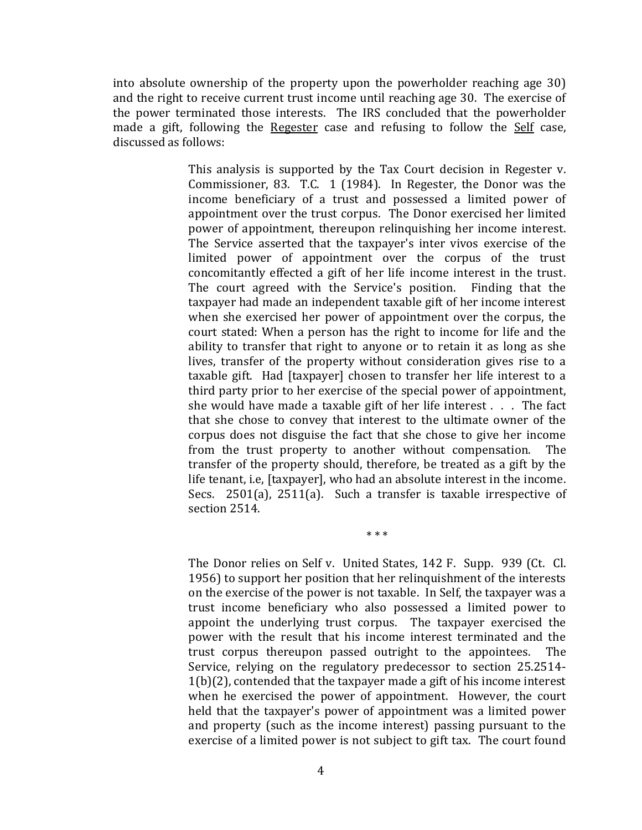into absolute ownership of the property upon the powerholder reaching age 30) and the right to receive current trust income until reaching age 30. The exercise of the power terminated those interests. The IRS concluded that the powerholder made a gift, following the Regester case and refusing to follow the Self case, discussed as follows:

> This analysis is supported by the Tax Court decision in Regester v. Commissioner, 83. T.C. 1 (1984). In Regester, the Donor was the income beneficiary of a trust and possessed a limited power of appointment over the trust corpus. The Donor exercised her limited power of appointment, thereupon relinquishing her income interest. The Service asserted that the taxpayer's inter vivos exercise of the limited power of appointment over the corpus of the trust concomitantly effected a gift of her life income interest in the trust. The court agreed with the Service's position. Finding that the taxpayer had made an independent taxable gift of her income interest when she exercised her power of appointment over the corpus, the court stated: When a person has the right to income for life and the ability to transfer that right to anyone or to retain it as long as she lives, transfer of the property without consideration gives rise to a taxable gift. Had [taxpayer] chosen to transfer her life interest to a third party prior to her exercise of the special power of appointment, she would have made a taxable gift of her life interest . . . The fact that she chose to convey that interest to the ultimate owner of the corpus does not disguise the fact that she chose to give her income from the trust property to another without compensation. The transfer of the property should, therefore, be treated as a gift by the life tenant, i.e, [taxpayer], who had an absolute interest in the income. Secs. 2501(a), 2511(a). Such a transfer is taxable irrespective of section 2514.

> > \* \* \*

The Donor relies on Self v. United States, 142 F. Supp. 939 (Ct. Cl. 1956) to support her position that her relinquishment of the interests on the exercise of the power is not taxable. In Self, the taxpayer was a trust income beneficiary who also possessed a limited power to appoint the underlying trust corpus. The taxpayer exercised the power with the result that his income interest terminated and the trust corpus thereupon passed outright to the appointees. The Service, relying on the regulatory predecessor to section 25.2514- 1(b)(2), contended that the taxpayer made a gift of his income interest when he exercised the power of appointment. However, the court held that the taxpayer's power of appointment was a limited power and property (such as the income interest) passing pursuant to the exercise of a limited power is not subject to gift tax. The court found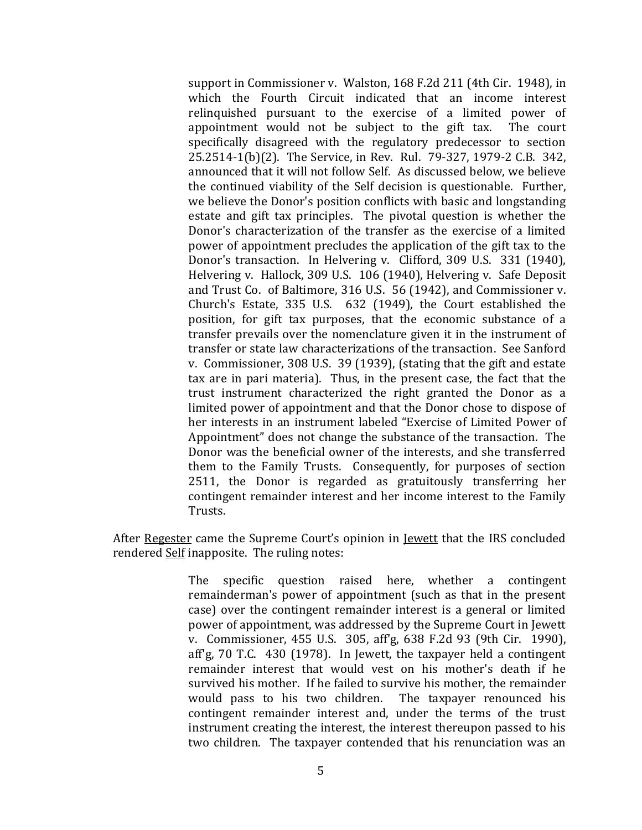support in Commissioner v. Walston, 168 F.2d 211 (4th Cir. 1948), in which the Fourth Circuit indicated that an income interest relinquished pursuant to the exercise of a limited power of appointment would not be subject to the gift tax. The court specifically disagreed with the regulatory predecessor to section 25.2514-1(b)(2). The Service, in Rev. Rul. 79-327, 1979-2 C.B. 342, announced that it will not follow Self. As discussed below, we believe the continued viability of the Self decision is questionable. Further, we believe the Donor's position conflicts with basic and longstanding estate and gift tax principles. The pivotal question is whether the Donor's characterization of the transfer as the exercise of a limited power of appointment precludes the application of the gift tax to the Donor's transaction. In Helvering v. Clifford, 309 U.S. 331 (1940), Helvering v. Hallock, 309 U.S. 106 (1940), Helvering v. Safe Deposit and Trust Co. of Baltimore, 316 U.S. 56 (1942), and Commissioner v. Church's Estate, 335 U.S. 632 (1949), the Court established the position, for gift tax purposes, that the economic substance of a transfer prevails over the nomenclature given it in the instrument of transfer or state law characterizations of the transaction. See Sanford v. Commissioner, 308 U.S. 39 (1939), (stating that the gift and estate tax are in pari materia). Thus, in the present case, the fact that the trust instrument characterized the right granted the Donor as a limited power of appointment and that the Donor chose to dispose of her interests in an instrument labeled "Exercise of Limited Power of Appointment" does not change the substance of the transaction. The Donor was the beneficial owner of the interests, and she transferred them to the Family Trusts. Consequently, for purposes of section 2511, the Donor is regarded as gratuitously transferring her contingent remainder interest and her income interest to the Family Trusts.

After Regester came the Supreme Court's opinion in Jewett that the IRS concluded rendered Self inapposite. The ruling notes:

> The specific question raised here, whether a contingent remainderman's power of appointment (such as that in the present case) over the contingent remainder interest is a general or limited power of appointment, was addressed by the Supreme Court in Jewett v. Commissioner, 455 U.S. 305, aff'g, 638 F.2d 93 (9th Cir. 1990), aff'g, 70 T.C. 430 (1978). In Jewett, the taxpayer held a contingent remainder interest that would vest on his mother's death if he survived his mother. If he failed to survive his mother, the remainder would pass to his two children. The taxpayer renounced his contingent remainder interest and, under the terms of the trust instrument creating the interest, the interest thereupon passed to his two children. The taxpayer contended that his renunciation was an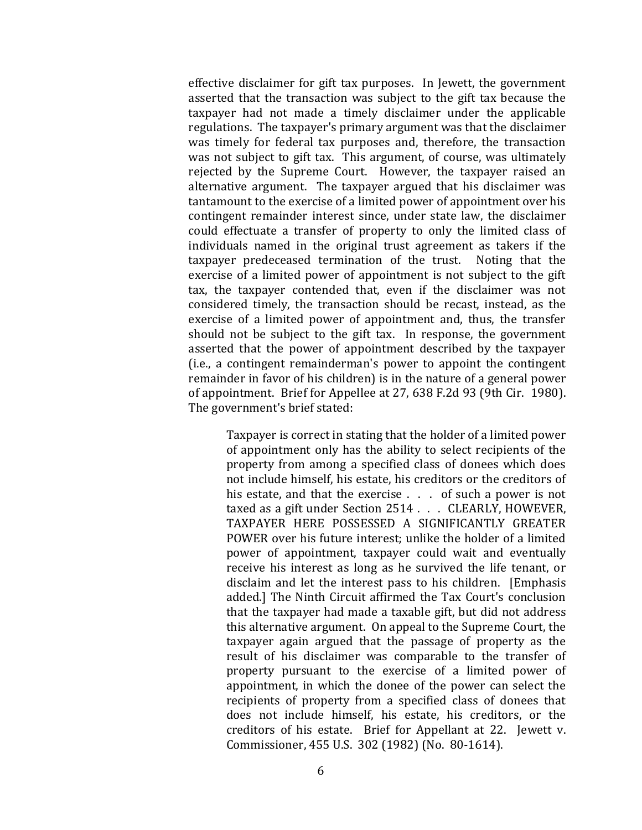effective disclaimer for gift tax purposes. In Jewett, the government asserted that the transaction was subject to the gift tax because the taxpayer had not made a timely disclaimer under the applicable regulations. The taxpayer's primary argument was that the disclaimer was timely for federal tax purposes and, therefore, the transaction was not subject to gift tax. This argument, of course, was ultimately rejected by the Supreme Court. However, the taxpayer raised an alternative argument. The taxpayer argued that his disclaimer was tantamount to the exercise of a limited power of appointment over his contingent remainder interest since, under state law, the disclaimer could effectuate a transfer of property to only the limited class of individuals named in the original trust agreement as takers if the taxpayer predeceased termination of the trust. Noting that the exercise of a limited power of appointment is not subject to the gift tax, the taxpayer contended that, even if the disclaimer was not considered timely, the transaction should be recast, instead, as the exercise of a limited power of appointment and, thus, the transfer should not be subject to the gift tax. In response, the government asserted that the power of appointment described by the taxpayer (i.e., a contingent remainderman's power to appoint the contingent remainder in favor of his children) is in the nature of a general power of appointment. Brief for Appellee at 27, 638 F.2d 93 (9th Cir. 1980). The government's brief stated:

Taxpayer is correct in stating that the holder of a limited power of appointment only has the ability to select recipients of the property from among a specified class of donees which does not include himself, his estate, his creditors or the creditors of his estate, and that the exercise . . . of such a power is not taxed as a gift under Section 2514 . . . CLEARLY, HOWEVER, TAXPAYER HERE POSSESSED A SIGNIFICANTLY GREATER POWER over his future interest; unlike the holder of a limited power of appointment, taxpayer could wait and eventually receive his interest as long as he survived the life tenant, or disclaim and let the interest pass to his children. [Emphasis added.] The Ninth Circuit affirmed the Tax Court's conclusion that the taxpayer had made a taxable gift, but did not address this alternative argument. On appeal to the Supreme Court, the taxpayer again argued that the passage of property as the result of his disclaimer was comparable to the transfer of property pursuant to the exercise of a limited power of appointment, in which the donee of the power can select the recipients of property from a specified class of donees that does not include himself, his estate, his creditors, or the creditors of his estate. Brief for Appellant at 22. Jewett v. Commissioner, 455 U.S. 302 (1982) (No. 80-1614).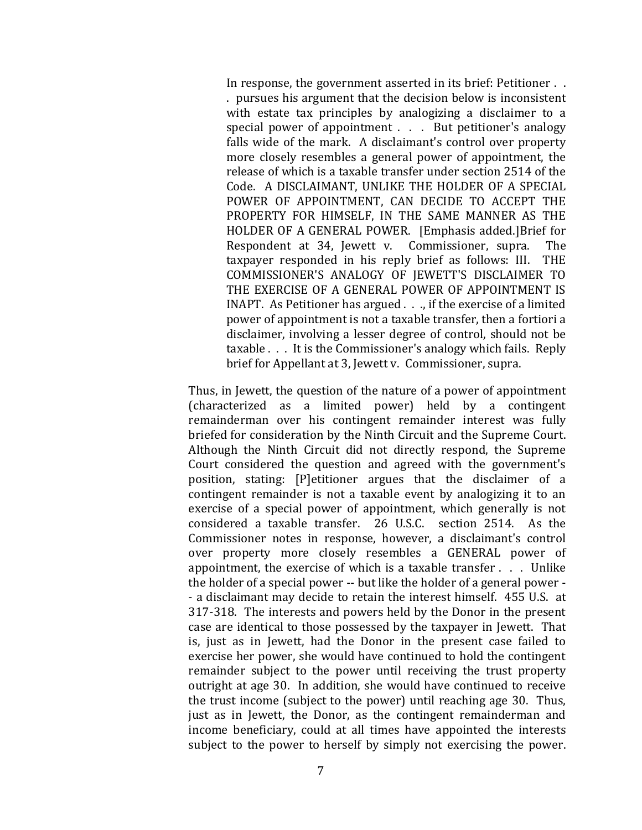In response, the government asserted in its brief: Petitioner . . . pursues his argument that the decision below is inconsistent with estate tax principles by analogizing a disclaimer to a special power of appointment . . . But petitioner's analogy falls wide of the mark. A disclaimant's control over property more closely resembles a general power of appointment, the release of which is a taxable transfer under section 2514 of the Code. A DISCLAIMANT, UNLIKE THE HOLDER OF A SPECIAL POWER OF APPOINTMENT, CAN DECIDE TO ACCEPT THE PROPERTY FOR HIMSELF, IN THE SAME MANNER AS THE HOLDER OF A GENERAL POWER. [Emphasis added.]Brief for Respondent at 34, Jewett v. Commissioner, supra. The taxpayer responded in his reply brief as follows: III. THE COMMISSIONER'S ANALOGY OF JEWETT'S DISCLAIMER TO THE EXERCISE OF A GENERAL POWER OF APPOINTMENT IS INAPT. As Petitioner has argued . . ., if the exercise of a limited power of appointment is not a taxable transfer, then a fortiori a disclaimer, involving a lesser degree of control, should not be taxable . . . It is the Commissioner's analogy which fails. Reply brief for Appellant at 3, Jewett v. Commissioner, supra.

Thus, in Jewett, the question of the nature of a power of appointment (characterized as a limited power) held by a contingent remainderman over his contingent remainder interest was fully briefed for consideration by the Ninth Circuit and the Supreme Court. Although the Ninth Circuit did not directly respond, the Supreme Court considered the question and agreed with the government's position, stating: [P]etitioner argues that the disclaimer of a contingent remainder is not a taxable event by analogizing it to an exercise of a special power of appointment, which generally is not considered a taxable transfer. 26 U.S.C. section 2514. As the Commissioner notes in response, however, a disclaimant's control over property more closely resembles a GENERAL power of appointment, the exercise of which is a taxable transfer . . . Unlike the holder of a special power -- but like the holder of a general power - - a disclaimant may decide to retain the interest himself. 455 U.S. at 317-318. The interests and powers held by the Donor in the present case are identical to those possessed by the taxpayer in Jewett. That is, just as in Jewett, had the Donor in the present case failed to exercise her power, she would have continued to hold the contingent remainder subject to the power until receiving the trust property outright at age 30. In addition, she would have continued to receive the trust income (subject to the power) until reaching age 30. Thus, just as in Jewett, the Donor, as the contingent remainderman and income beneficiary, could at all times have appointed the interests subject to the power to herself by simply not exercising the power.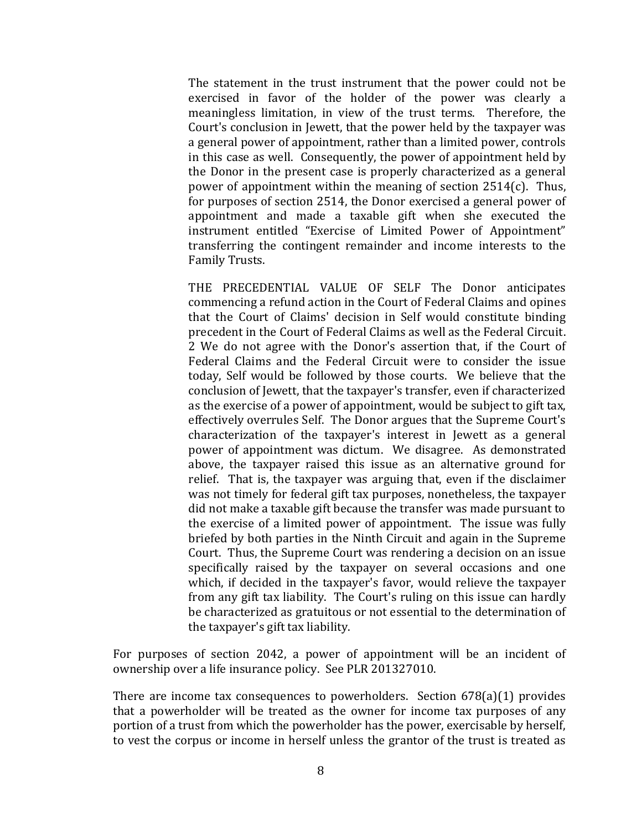The statement in the trust instrument that the power could not be exercised in favor of the holder of the power was clearly a meaningless limitation, in view of the trust terms. Therefore, the Court's conclusion in Jewett, that the power held by the taxpayer was a general power of appointment, rather than a limited power, controls in this case as well. Consequently, the power of appointment held by the Donor in the present case is properly characterized as a general power of appointment within the meaning of section 2514(c). Thus, for purposes of section 2514, the Donor exercised a general power of appointment and made a taxable gift when she executed the instrument entitled "Exercise of Limited Power of Appointment" transferring the contingent remainder and income interests to the Family Trusts.

THE PRECEDENTIAL VALUE OF SELF The Donor anticipates commencing a refund action in the Court of Federal Claims and opines that the Court of Claims' decision in Self would constitute binding precedent in the Court of Federal Claims as well as the Federal Circuit. 2 We do not agree with the Donor's assertion that, if the Court of Federal Claims and the Federal Circuit were to consider the issue today, Self would be followed by those courts. We believe that the conclusion of Jewett, that the taxpayer's transfer, even if characterized as the exercise of a power of appointment, would be subject to gift tax, effectively overrules Self. The Donor argues that the Supreme Court's characterization of the taxpayer's interest in Jewett as a general power of appointment was dictum. We disagree. As demonstrated above, the taxpayer raised this issue as an alternative ground for relief. That is, the taxpayer was arguing that, even if the disclaimer was not timely for federal gift tax purposes, nonetheless, the taxpayer did not make a taxable gift because the transfer was made pursuant to the exercise of a limited power of appointment. The issue was fully briefed by both parties in the Ninth Circuit and again in the Supreme Court. Thus, the Supreme Court was rendering a decision on an issue specifically raised by the taxpayer on several occasions and one which, if decided in the taxpayer's favor, would relieve the taxpayer from any gift tax liability. The Court's ruling on this issue can hardly be characterized as gratuitous or not essential to the determination of the taxpayer's gift tax liability.

For purposes of section 2042, a power of appointment will be an incident of ownership over a life insurance policy. See PLR 201327010.

There are income tax consequences to powerholders. Section 678(a)(1) provides that a powerholder will be treated as the owner for income tax purposes of any portion of a trust from which the powerholder has the power, exercisable by herself, to vest the corpus or income in herself unless the grantor of the trust is treated as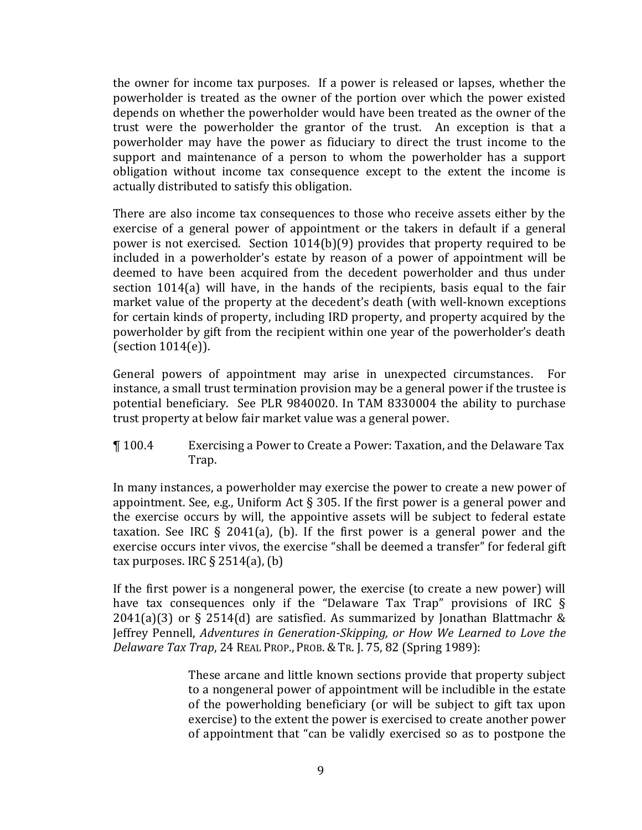the owner for income tax purposes. If a power is released or lapses, whether the powerholder is treated as the owner of the portion over which the power existed depends on whether the powerholder would have been treated as the owner of the trust were the powerholder the grantor of the trust. An exception is that a powerholder may have the power as fiduciary to direct the trust income to the support and maintenance of a person to whom the powerholder has a support obligation without income tax consequence except to the extent the income is actually distributed to satisfy this obligation.

There are also income tax consequences to those who receive assets either by the exercise of a general power of appointment or the takers in default if a general power is not exercised. Section 1014(b)(9) provides that property required to be included in a powerholder's estate by reason of a power of appointment will be deemed to have been acquired from the decedent powerholder and thus under section 1014(a) will have, in the hands of the recipients, basis equal to the fair market value of the property at the decedent's death (with well-known exceptions for certain kinds of property, including IRD property, and property acquired by the powerholder by gift from the recipient within one year of the powerholder's death (section 1014(e)).

General powers of appointment may arise in unexpected circumstances. For instance, a small trust termination provision may be a general power if the trustee is potential beneficiary. See PLR 9840020. In TAM 8330004 the ability to purchase trust property at below fair market value was a general power.

¶ 100.4 Exercising a Power to Create a Power: Taxation, and the Delaware Tax Trap.

In many instances, a powerholder may exercise the power to create a new power of appointment. See, e.g., Uniform Act § 305. If the first power is a general power and the exercise occurs by will, the appointive assets will be subject to federal estate taxation. See IRC  $\S$  2041(a), (b). If the first power is a general power and the exercise occurs inter vivos, the exercise "shall be deemed a transfer" for federal gift tax purposes. IRC  $\S 2514(a)$ , (b)

If the first power is a nongeneral power, the exercise (to create a new power) will have tax consequences only if the "Delaware Tax Trap" provisions of IRC § 2041(a)(3) or § 2514(d) are satisfied. As summarized by Jonathan Blattmachr & Jeffrey Pennell, *Adventures in Generation-Skipping, or How We Learned to Love the Delaware Tax Trap*, 24 REAL PROP., PROB. &TR. J. 75, 82 (Spring 1989):

> These arcane and little known sections provide that property subject to a nongeneral power of appointment will be includible in the estate of the powerholding beneficiary (or will be subject to gift tax upon exercise) to the extent the power is exercised to create another power of appointment that "can be validly exercised so as to postpone the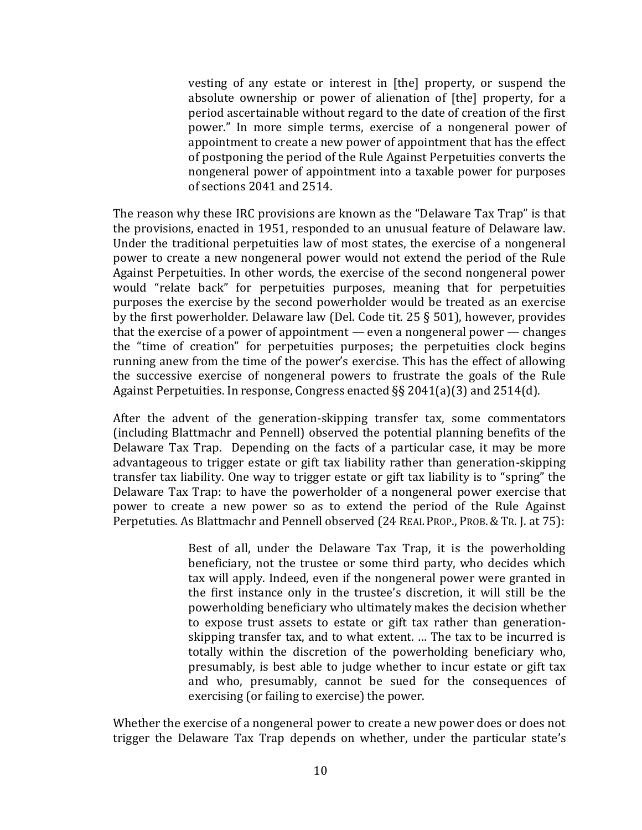vesting of any estate or interest in [the] property, or suspend the absolute ownership or power of alienation of [the] property, for a period ascertainable without regard to the date of creation of the first power." In more simple terms, exercise of a nongeneral power of appointment to create a new power of appointment that has the effect of postponing the period of the Rule Against Perpetuities converts the nongeneral power of appointment into a taxable power for purposes of sections 2041 and 2514.

The reason why these IRC provisions are known as the "Delaware Tax Trap" is that the provisions, enacted in 1951, responded to an unusual feature of Delaware law. Under the traditional perpetuities law of most states, the exercise of a nongeneral power to create a new nongeneral power would not extend the period of the Rule Against Perpetuities. In other words, the exercise of the second nongeneral power would "relate back" for perpetuities purposes, meaning that for perpetuities purposes the exercise by the second powerholder would be treated as an exercise by the first powerholder. Delaware law (Del. Code tit. 25 § 501), however, provides that the exercise of a power of appointment  $-$  even a nongeneral power  $-$  changes the "time of creation" for perpetuities purposes; the perpetuities clock begins running anew from the time of the power's exercise. This has the effect of allowing the successive exercise of nongeneral powers to frustrate the goals of the Rule Against Perpetuities. In response, Congress enacted §§ 2041(a)(3) and 2514(d).

After the advent of the generation-skipping transfer tax, some commentators (including Blattmachr and Pennell) observed the potential planning benefits of the Delaware Tax Trap. Depending on the facts of a particular case, it may be more advantageous to trigger estate or gift tax liability rather than generation-skipping transfer tax liability. One way to trigger estate or gift tax liability is to "spring" the Delaware Tax Trap: to have the powerholder of a nongeneral power exercise that power to create a new power so as to extend the period of the Rule Against Perpetuties. As Blattmachr and Pennell observed (24 REAL PROP., PROB. & TR. J. at 75):

> Best of all, under the Delaware Tax Trap, it is the powerholding beneficiary, not the trustee or some third party, who decides which tax will apply. Indeed, even if the nongeneral power were granted in the first instance only in the trustee's discretion, it will still be the powerholding beneficiary who ultimately makes the decision whether to expose trust assets to estate or gift tax rather than generationskipping transfer tax, and to what extent. … The tax to be incurred is totally within the discretion of the powerholding beneficiary who, presumably, is best able to judge whether to incur estate or gift tax and who, presumably, cannot be sued for the consequences of exercising (or failing to exercise) the power.

Whether the exercise of a nongeneral power to create a new power does or does not trigger the Delaware Tax Trap depends on whether, under the particular state's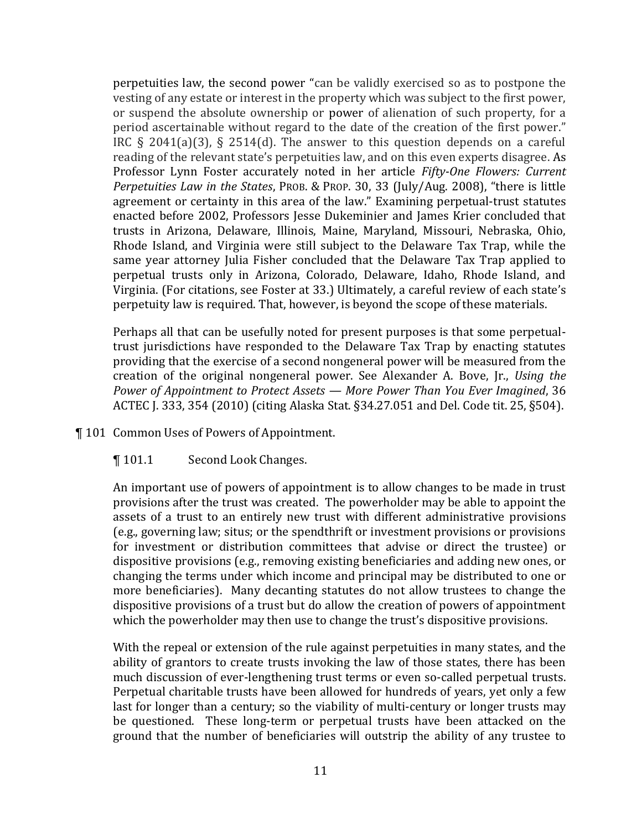perpetuities law, the second power "can be validly exercised so as to postpone the vesting of any estate or interest in the property which was subject to the first power, or suspend the absolute ownership or power of alienation of such property, for a period ascertainable without regard to the date of the creation of the first power." IRC § 2041(a)(3), § 2514(d). The answer to this question depends on a careful reading of the relevant state's perpetuities law, and on this even experts disagree. As Professor Lynn Foster accurately noted in her article *Fifty-One Flowers: Current Perpetuities Law in the States*, PROB. & PROP. 30, 33 (July/Aug. 2008), "there is little agreement or certainty in this area of the law." Examining perpetual-trust statutes enacted before 2002, Professors Jesse Dukeminier and James Krier concluded that trusts in Arizona, Delaware, Illinois, Maine, Maryland, Missouri, Nebraska, Ohio, Rhode Island, and Virginia were still subject to the Delaware Tax Trap, while the same year attorney Julia Fisher concluded that the Delaware Tax Trap applied to perpetual trusts only in Arizona, Colorado, Delaware, Idaho, Rhode Island, and Virginia. (For citations, see Foster at 33.) Ultimately, a careful review of each state's perpetuity law is required. That, however, is beyond the scope of these materials.

Perhaps all that can be usefully noted for present purposes is that some perpetualtrust jurisdictions have responded to the Delaware Tax Trap by enacting statutes providing that the exercise of a second nongeneral power will be measured from the creation of the original nongeneral power. See Alexander A. Bove, Jr., *Using the Power of Appointment to Protect Assets — More Power Than You Ever Imagined*, 36 ACTEC J. 333, 354 (2010) (citing Alaska Stat. §34.27.051 and Del. Code tit. 25, §504).

#### ¶ 101 Common Uses of Powers of Appointment.

#### ¶ 101.1 Second Look Changes.

An important use of powers of appointment is to allow changes to be made in trust provisions after the trust was created. The powerholder may be able to appoint the assets of a trust to an entirely new trust with different administrative provisions (e.g., governing law; situs; or the spendthrift or investment provisions or provisions for investment or distribution committees that advise or direct the trustee) or dispositive provisions (e.g., removing existing beneficiaries and adding new ones, or changing the terms under which income and principal may be distributed to one or more beneficiaries). Many decanting statutes do not allow trustees to change the dispositive provisions of a trust but do allow the creation of powers of appointment which the powerholder may then use to change the trust's dispositive provisions.

With the repeal or extension of the rule against perpetuities in many states, and the ability of grantors to create trusts invoking the law of those states, there has been much discussion of ever-lengthening trust terms or even so-called perpetual trusts. Perpetual charitable trusts have been allowed for hundreds of years, yet only a few last for longer than a century; so the viability of multi-century or longer trusts may be questioned. These long-term or perpetual trusts have been attacked on the ground that the number of beneficiaries will outstrip the ability of any trustee to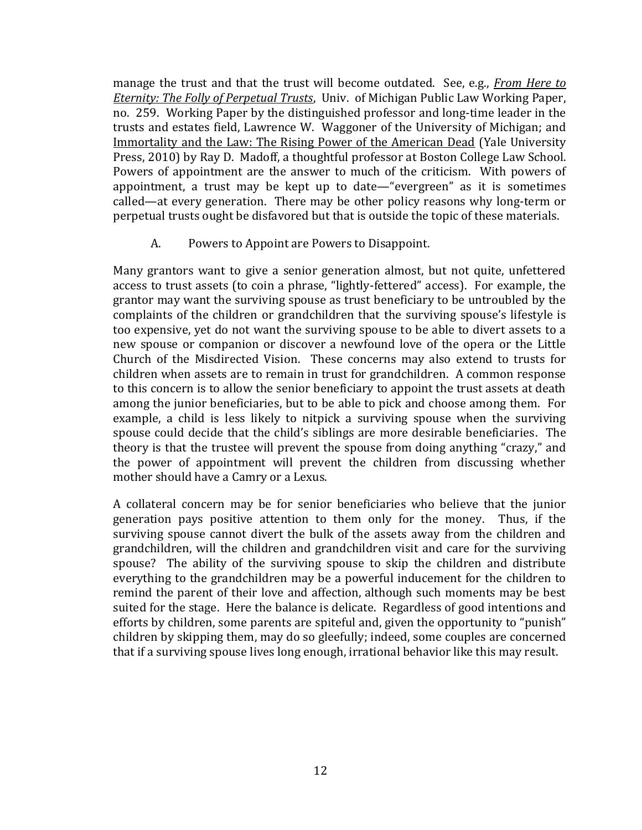manage the trust and that the trust will become outdated. See, e.g., *From Here to Eternity: The Folly of Perpetual Trusts*, Univ. of Michigan Public Law Working Paper, no. 259. Working Paper by the distinguished professor and long-time leader in the trusts and estates field, Lawrence W. Waggoner of the University of Michigan; and Immortality and the Law: The Rising Power of the American Dead (Yale University Press, 2010) by Ray D. Madoff, a thoughtful professor at Boston College Law School. Powers of appointment are the answer to much of the criticism. With powers of appointment, a trust may be kept up to date—"evergreen" as it is sometimes called—at every generation. There may be other policy reasons why long-term or perpetual trusts ought be disfavored but that is outside the topic of these materials.

A. Powers to Appoint are Powers to Disappoint.

Many grantors want to give a senior generation almost, but not quite, unfettered access to trust assets (to coin a phrase, "lightly-fettered" access). For example, the grantor may want the surviving spouse as trust beneficiary to be untroubled by the complaints of the children or grandchildren that the surviving spouse's lifestyle is too expensive, yet do not want the surviving spouse to be able to divert assets to a new spouse or companion or discover a newfound love of the opera or the Little Church of the Misdirected Vision. These concerns may also extend to trusts for children when assets are to remain in trust for grandchildren. A common response to this concern is to allow the senior beneficiary to appoint the trust assets at death among the junior beneficiaries, but to be able to pick and choose among them. For example, a child is less likely to nitpick a surviving spouse when the surviving spouse could decide that the child's siblings are more desirable beneficiaries. The theory is that the trustee will prevent the spouse from doing anything "crazy," and the power of appointment will prevent the children from discussing whether mother should have a Camry or a Lexus.

A collateral concern may be for senior beneficiaries who believe that the junior generation pays positive attention to them only for the money. Thus, if the surviving spouse cannot divert the bulk of the assets away from the children and grandchildren, will the children and grandchildren visit and care for the surviving spouse? The ability of the surviving spouse to skip the children and distribute everything to the grandchildren may be a powerful inducement for the children to remind the parent of their love and affection, although such moments may be best suited for the stage. Here the balance is delicate. Regardless of good intentions and efforts by children, some parents are spiteful and, given the opportunity to "punish" children by skipping them, may do so gleefully; indeed, some couples are concerned that if a surviving spouse lives long enough, irrational behavior like this may result.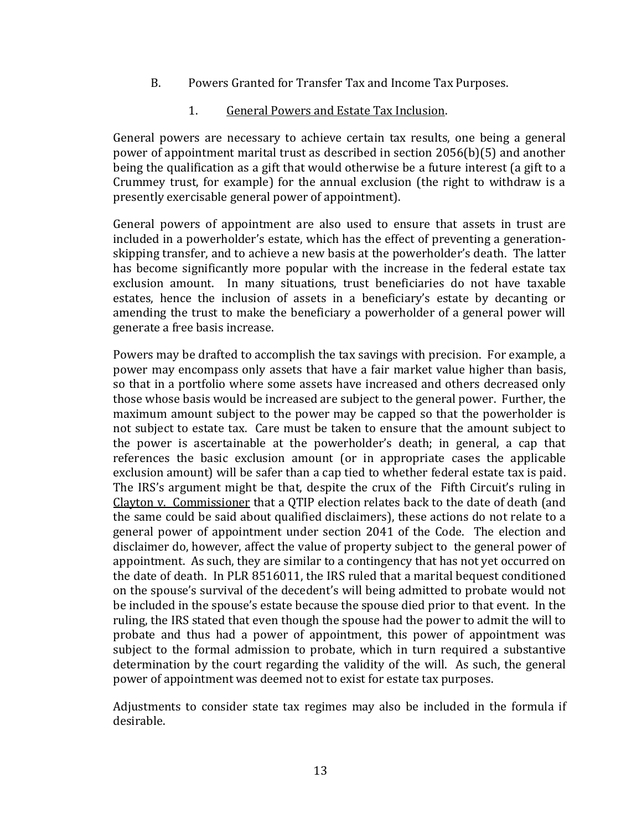- B. Powers Granted for Transfer Tax and Income Tax Purposes.
	- 1. General Powers and Estate Tax Inclusion.

General powers are necessary to achieve certain tax results, one being a general power of appointment marital trust as described in section 2056(b)(5) and another being the qualification as a gift that would otherwise be a future interest (a gift to a Crummey trust, for example) for the annual exclusion (the right to withdraw is a presently exercisable general power of appointment).

General powers of appointment are also used to ensure that assets in trust are included in a powerholder's estate, which has the effect of preventing a generationskipping transfer, and to achieve a new basis at the powerholder's death. The latter has become significantly more popular with the increase in the federal estate tax exclusion amount. In many situations, trust beneficiaries do not have taxable estates, hence the inclusion of assets in a beneficiary's estate by decanting or amending the trust to make the beneficiary a powerholder of a general power will generate a free basis increase.

Powers may be drafted to accomplish the tax savings with precision. For example, a power may encompass only assets that have a fair market value higher than basis, so that in a portfolio where some assets have increased and others decreased only those whose basis would be increased are subject to the general power. Further, the maximum amount subject to the power may be capped so that the powerholder is not subject to estate tax. Care must be taken to ensure that the amount subject to the power is ascertainable at the powerholder's death; in general, a cap that references the basic exclusion amount (or in appropriate cases the applicable exclusion amount) will be safer than a cap tied to whether federal estate tax is paid. The IRS's argument might be that, despite the crux of the Fifth Circuit's ruling in Clayton v. Commissioner that a QTIP election relates back to the date of death (and the same could be said about qualified disclaimers), these actions do not relate to a general power of appointment under section 2041 of the Code. The election and disclaimer do, however, affect the value of property subject to the general power of appointment. As such, they are similar to a contingency that has not yet occurred on the date of death. In PLR 8516011, the IRS ruled that a marital bequest conditioned on the spouse's survival of the decedent's will being admitted to probate would not be included in the spouse's estate because the spouse died prior to that event. In the ruling, the IRS stated that even though the spouse had the power to admit the will to probate and thus had a power of appointment, this power of appointment was subject to the formal admission to probate, which in turn required a substantive determination by the court regarding the validity of the will. As such, the general power of appointment was deemed not to exist for estate tax purposes.

Adjustments to consider state tax regimes may also be included in the formula if desirable.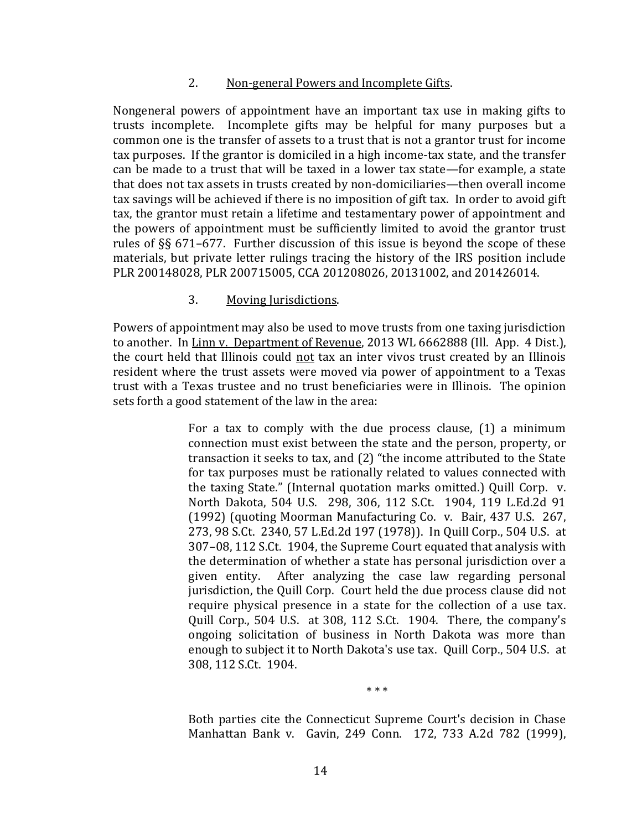#### 2. Non-general Powers and Incomplete Gifts.

Nongeneral powers of appointment have an important tax use in making gifts to trusts incomplete. Incomplete gifts may be helpful for many purposes but a common one is the transfer of assets to a trust that is not a grantor trust for income tax purposes. If the grantor is domiciled in a high income-tax state, and the transfer can be made to a trust that will be taxed in a lower tax state—for example, a state that does not tax assets in trusts created by non-domiciliaries—then overall income tax savings will be achieved if there is no imposition of gift tax. In order to avoid gift tax, the grantor must retain a lifetime and testamentary power of appointment and the powers of appointment must be sufficiently limited to avoid the grantor trust rules of §§ 671–677. Further discussion of this issue is beyond the scope of these materials, but private letter rulings tracing the history of the IRS position include PLR 200148028, PLR 200715005, CCA 201208026, 20131002, and 201426014.

#### 3. Moving Jurisdictions.

Powers of appointment may also be used to move trusts from one taxing jurisdiction to another. In Linn v. Department of Revenue, 2013 WL 6662888 (Ill. App. 4 Dist.), the court held that Illinois could not tax an inter vivos trust created by an Illinois resident where the trust assets were moved via power of appointment to a Texas trust with a Texas trustee and no trust beneficiaries were in Illinois. The opinion sets forth a good statement of the law in the area:

> For a tax to comply with the due process clause, (1) a minimum connection must exist between the state and the person, property, or transaction it seeks to tax, and (2) "the income attributed to the State for tax purposes must be rationally related to values connected with the taxing State." (Internal quotation marks omitted.) Quill Corp. v. North Dakota, 504 U.S. 298, 306, 112 S.Ct. 1904, 119 L.Ed.2d 91 (1992) (quoting Moorman Manufacturing Co. v. Bair, 437 U.S. 267, 273, 98 S.Ct. 2340, 57 L.Ed.2d 197 (1978)). In Quill Corp., 504 U.S. at 307–08, 112 S.Ct. 1904, the Supreme Court equated that analysis with the determination of whether a state has personal jurisdiction over a given entity. After analyzing the case law regarding personal jurisdiction, the Quill Corp. Court held the due process clause did not require physical presence in a state for the collection of a use tax. Quill Corp., 504 U.S. at 308, 112 S.Ct. 1904. There, the company's ongoing solicitation of business in North Dakota was more than enough to subject it to North Dakota's use tax. Quill Corp., 504 U.S. at 308, 112 S.Ct. 1904.

> > \* \* \*

Both parties cite the Connecticut Supreme Court's decision in Chase Manhattan Bank v. Gavin, 249 Conn. 172, 733 A.2d 782 (1999),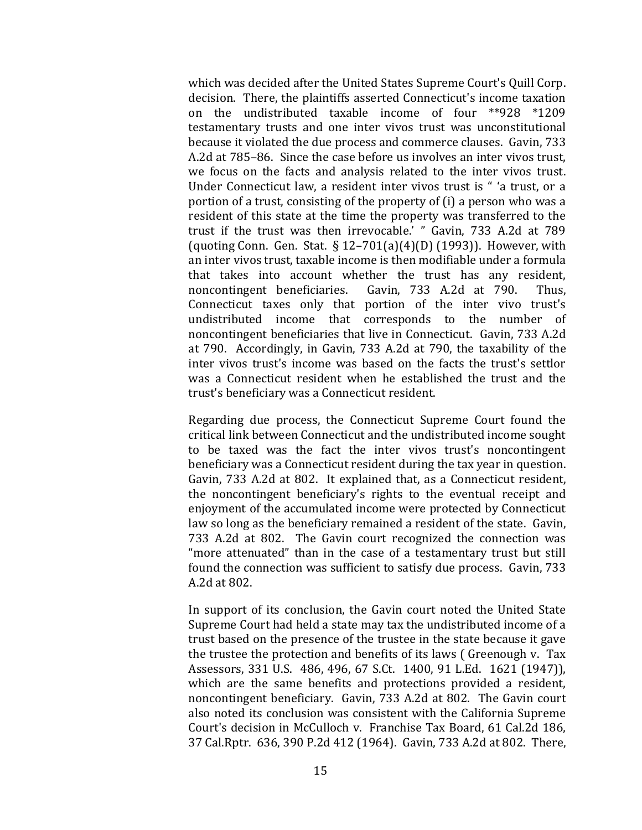which was decided after the United States Supreme Court's Quill Corp. decision. There, the plaintiffs asserted Connecticut's income taxation on the undistributed taxable income of four \*\*928 \*1209 testamentary trusts and one inter vivos trust was unconstitutional because it violated the due process and commerce clauses. Gavin, 733 A.2d at 785–86. Since the case before us involves an inter vivos trust, we focus on the facts and analysis related to the inter vivos trust. Under Connecticut law, a resident inter vivos trust is " 'a trust, or a portion of a trust, consisting of the property of (i) a person who was a resident of this state at the time the property was transferred to the trust if the trust was then irrevocable.' " Gavin, 733 A.2d at 789 (quoting Conn. Gen. Stat.  $\S 12-701(a)(4)(D)$  (1993)). However, with an inter vivos trust, taxable income is then modifiable under a formula that takes into account whether the trust has any resident, noncontingent beneficiaries. Gavin, 733 A.2d at 790. Thus, Connecticut taxes only that portion of the inter vivo trust's undistributed income that corresponds to the number of noncontingent beneficiaries that live in Connecticut. Gavin, 733 A.2d at 790. Accordingly, in Gavin, 733 A.2d at 790, the taxability of the inter vivos trust's income was based on the facts the trust's settlor was a Connecticut resident when he established the trust and the trust's beneficiary was a Connecticut resident.

Regarding due process, the Connecticut Supreme Court found the critical link between Connecticut and the undistributed income sought to be taxed was the fact the inter vivos trust's noncontingent beneficiary was a Connecticut resident during the tax year in question. Gavin, 733 A.2d at 802. It explained that, as a Connecticut resident, the noncontingent beneficiary's rights to the eventual receipt and enjoyment of the accumulated income were protected by Connecticut law so long as the beneficiary remained a resident of the state. Gavin, 733 A.2d at 802. The Gavin court recognized the connection was "more attenuated" than in the case of a testamentary trust but still found the connection was sufficient to satisfy due process. Gavin, 733 A.2d at 802.

In support of its conclusion, the Gavin court noted the United State Supreme Court had held a state may tax the undistributed income of a trust based on the presence of the trustee in the state because it gave the trustee the protection and benefits of its laws ( Greenough v. Tax Assessors, 331 U.S. 486, 496, 67 S.Ct. 1400, 91 L.Ed. 1621 (1947)), which are the same benefits and protections provided a resident, noncontingent beneficiary. Gavin, 733 A.2d at 802. The Gavin court also noted its conclusion was consistent with the California Supreme Court's decision in McCulloch v. Franchise Tax Board, 61 Cal.2d 186, 37 Cal.Rptr. 636, 390 P.2d 412 (1964). Gavin, 733 A.2d at 802. There,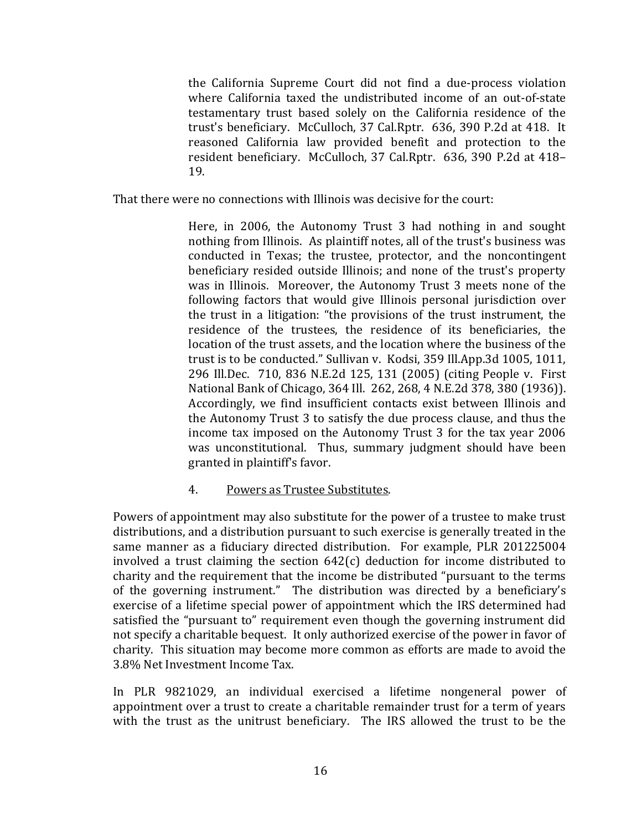the California Supreme Court did not find a due-process violation where California taxed the undistributed income of an out-of-state testamentary trust based solely on the California residence of the trust's beneficiary. McCulloch, 37 Cal.Rptr. 636, 390 P.2d at 418. It reasoned California law provided benefit and protection to the resident beneficiary. McCulloch, 37 Cal.Rptr. 636, 390 P.2d at 418– 19.

That there were no connections with Illinois was decisive for the court:

Here, in 2006, the Autonomy Trust 3 had nothing in and sought nothing from Illinois. As plaintiff notes, all of the trust's business was conducted in Texas; the trustee, protector, and the noncontingent beneficiary resided outside Illinois; and none of the trust's property was in Illinois. Moreover, the Autonomy Trust 3 meets none of the following factors that would give Illinois personal jurisdiction over the trust in a litigation: "the provisions of the trust instrument, the residence of the trustees, the residence of its beneficiaries, the location of the trust assets, and the location where the business of the trust is to be conducted." Sullivan v. Kodsi, 359 Ill.App.3d 1005, 1011, 296 Ill.Dec. 710, 836 N.E.2d 125, 131 (2005) (citing People v. First National Bank of Chicago, 364 Ill. 262, 268, 4 N.E.2d 378, 380 (1936)). Accordingly, we find insufficient contacts exist between Illinois and the Autonomy Trust 3 to satisfy the due process clause, and thus the income tax imposed on the Autonomy Trust 3 for the tax year 2006 was unconstitutional. Thus, summary judgment should have been granted in plaintiff's favor.

#### 4. Powers as Trustee Substitutes.

Powers of appointment may also substitute for the power of a trustee to make trust distributions, and a distribution pursuant to such exercise is generally treated in the same manner as a fiduciary directed distribution. For example, PLR 201225004 involved a trust claiming the section 642(c) deduction for income distributed to charity and the requirement that the income be distributed "pursuant to the terms of the governing instrument." The distribution was directed by a beneficiary's exercise of a lifetime special power of appointment which the IRS determined had satisfied the "pursuant to" requirement even though the governing instrument did not specify a charitable bequest. It only authorized exercise of the power in favor of charity. This situation may become more common as efforts are made to avoid the 3.8% Net Investment Income Tax.

In PLR 9821029, an individual exercised a lifetime nongeneral power of appointment over a trust to create a charitable remainder trust for a term of years with the trust as the unitrust beneficiary. The IRS allowed the trust to be the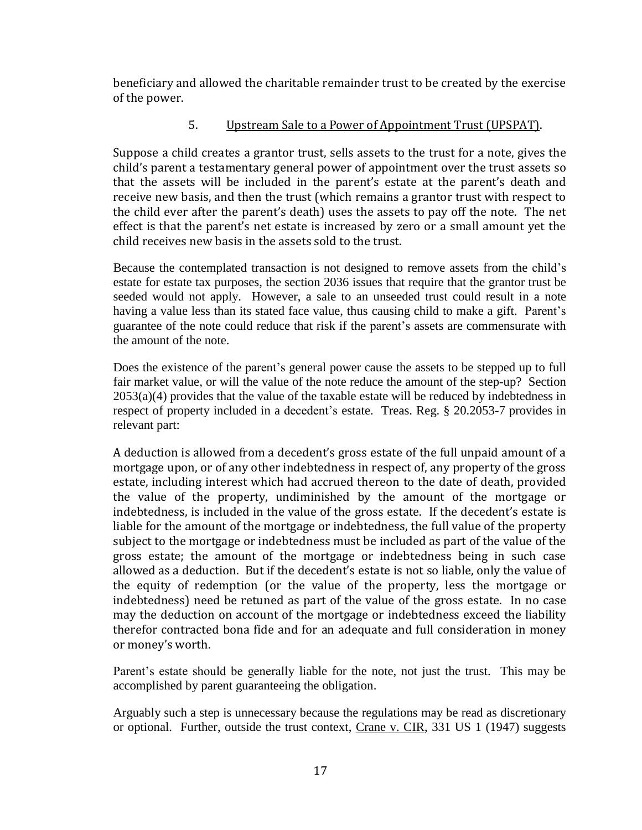beneficiary and allowed the charitable remainder trust to be created by the exercise of the power.

# 5. Upstream Sale to a Power of Appointment Trust (UPSPAT).

Suppose a child creates a grantor trust, sells assets to the trust for a note, gives the child's parent a testamentary general power of appointment over the trust assets so that the assets will be included in the parent's estate at the parent's death and receive new basis, and then the trust (which remains a grantor trust with respect to the child ever after the parent's death) uses the assets to pay off the note. The net effect is that the parent's net estate is increased by zero or a small amount yet the child receives new basis in the assets sold to the trust.

Because the contemplated transaction is not designed to remove assets from the child's estate for estate tax purposes, the section 2036 issues that require that the grantor trust be seeded would not apply. However, a sale to an unseeded trust could result in a note having a value less than its stated face value, thus causing child to make a gift. Parent's guarantee of the note could reduce that risk if the parent's assets are commensurate with the amount of the note.

Does the existence of the parent's general power cause the assets to be stepped up to full fair market value, or will the value of the note reduce the amount of the step-up? Section 2053(a)(4) provides that the value of the taxable estate will be reduced by indebtedness in respect of property included in a decedent's estate. Treas. Reg. § 20.2053-7 provides in relevant part:

A deduction is allowed from a decedent's gross estate of the full unpaid amount of a mortgage upon, or of any other indebtedness in respect of, any property of the gross estate, including interest which had accrued thereon to the date of death, provided the value of the property, undiminished by the amount of the mortgage or indebtedness, is included in the value of the gross estate. If the decedent's estate is liable for the amount of the mortgage or indebtedness, the full value of the property subject to the mortgage or indebtedness must be included as part of the value of the gross estate; the amount of the mortgage or indebtedness being in such case allowed as a deduction. But if the decedent's estate is not so liable, only the value of the equity of redemption (or the value of the property, less the mortgage or indebtedness) need be retuned as part of the value of the gross estate. In no case may the deduction on account of the mortgage or indebtedness exceed the liability therefor contracted bona fide and for an adequate and full consideration in money or money's worth.

Parent's estate should be generally liable for the note, not just the trust. This may be accomplished by parent guaranteeing the obligation.

Arguably such a step is unnecessary because the regulations may be read as discretionary or optional. Further, outside the trust context, Crane v. CIR, 331 US 1 (1947) suggests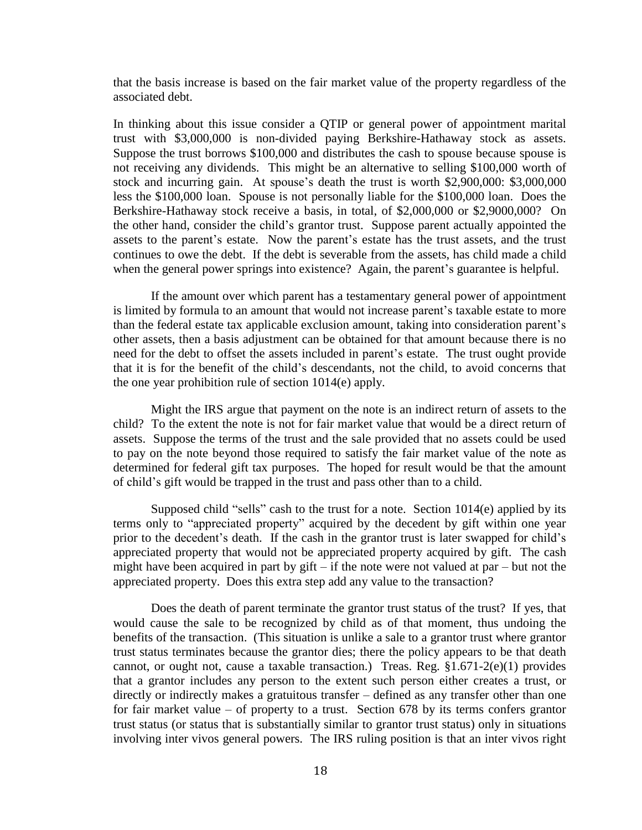that the basis increase is based on the fair market value of the property regardless of the associated debt.

In thinking about this issue consider a QTIP or general power of appointment marital trust with \$3,000,000 is non-divided paying Berkshire-Hathaway stock as assets. Suppose the trust borrows \$100,000 and distributes the cash to spouse because spouse is not receiving any dividends. This might be an alternative to selling \$100,000 worth of stock and incurring gain. At spouse's death the trust is worth \$2,900,000: \$3,000,000 less the \$100,000 loan. Spouse is not personally liable for the \$100,000 loan. Does the Berkshire-Hathaway stock receive a basis, in total, of \$2,000,000 or \$2,9000,000? On the other hand, consider the child's grantor trust. Suppose parent actually appointed the assets to the parent's estate. Now the parent's estate has the trust assets, and the trust continues to owe the debt. If the debt is severable from the assets, has child made a child when the general power springs into existence? Again, the parent's guarantee is helpful.

If the amount over which parent has a testamentary general power of appointment is limited by formula to an amount that would not increase parent's taxable estate to more than the federal estate tax applicable exclusion amount, taking into consideration parent's other assets, then a basis adjustment can be obtained for that amount because there is no need for the debt to offset the assets included in parent's estate. The trust ought provide that it is for the benefit of the child's descendants, not the child, to avoid concerns that the one year prohibition rule of section 1014(e) apply.

Might the IRS argue that payment on the note is an indirect return of assets to the child? To the extent the note is not for fair market value that would be a direct return of assets. Suppose the terms of the trust and the sale provided that no assets could be used to pay on the note beyond those required to satisfy the fair market value of the note as determined for federal gift tax purposes. The hoped for result would be that the amount of child's gift would be trapped in the trust and pass other than to a child.

Supposed child "sells" cash to the trust for a note. Section 1014(e) applied by its terms only to "appreciated property" acquired by the decedent by gift within one year prior to the decedent's death. If the cash in the grantor trust is later swapped for child's appreciated property that would not be appreciated property acquired by gift. The cash might have been acquired in part by gift – if the note were not valued at par – but not the appreciated property. Does this extra step add any value to the transaction?

Does the death of parent terminate the grantor trust status of the trust? If yes, that would cause the sale to be recognized by child as of that moment, thus undoing the benefits of the transaction. (This situation is unlike a sale to a grantor trust where grantor trust status terminates because the grantor dies; there the policy appears to be that death cannot, or ought not, cause a taxable transaction.) Treas. Reg.  $$1.671-2(e)(1)$  provides that a grantor includes any person to the extent such person either creates a trust, or directly or indirectly makes a gratuitous transfer – defined as any transfer other than one for fair market value – of property to a trust. Section 678 by its terms confers grantor trust status (or status that is substantially similar to grantor trust status) only in situations involving inter vivos general powers. The IRS ruling position is that an inter vivos right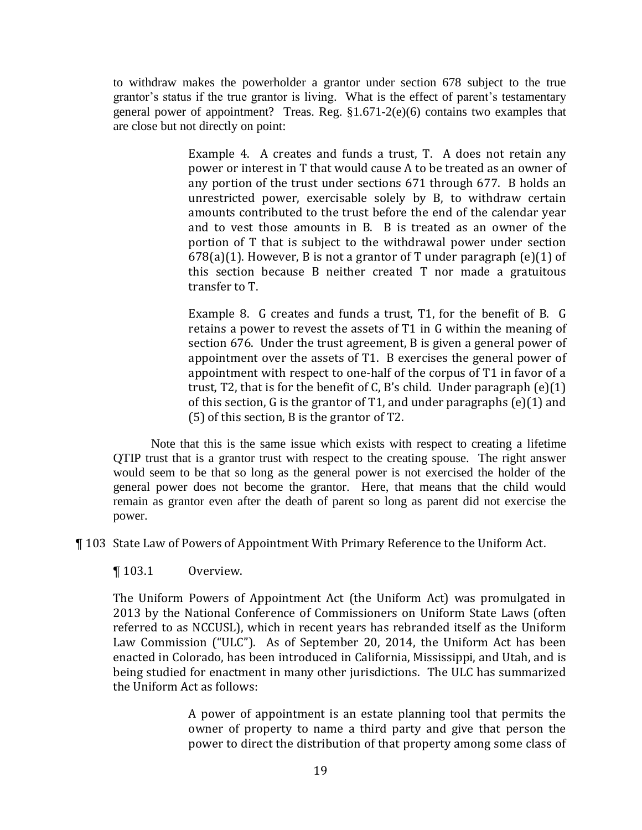to withdraw makes the powerholder a grantor under section 678 subject to the true grantor's status if the true grantor is living. What is the effect of parent's testamentary general power of appointment? Treas. Reg.  $$1.671-2(e)(6)$  contains two examples that are close but not directly on point:

> Example 4. A creates and funds a trust, T. A does not retain any power or interest in T that would cause A to be treated as an owner of any portion of the trust under sections 671 through 677. B holds an unrestricted power, exercisable solely by B, to withdraw certain amounts contributed to the trust before the end of the calendar year and to vest those amounts in B. B is treated as an owner of the portion of T that is subject to the withdrawal power under section  $678(a)(1)$ . However, B is not a grantor of T under paragraph  $(e)(1)$  of this section because B neither created T nor made a gratuitous transfer to T.

> Example 8. G creates and funds a trust, T1, for the benefit of B. G retains a power to revest the assets of T1 in G within the meaning of section 676. Under the trust agreement, B is given a general power of appointment over the assets of T1. B exercises the general power of appointment with respect to one-half of the corpus of T1 in favor of a trust, T2, that is for the benefit of C, B's child. Under paragraph  $(e)(1)$ of this section, G is the grantor of T1, and under paragraphs  $(e)(1)$  and (5) of this section, B is the grantor of T2.

Note that this is the same issue which exists with respect to creating a lifetime QTIP trust that is a grantor trust with respect to the creating spouse. The right answer would seem to be that so long as the general power is not exercised the holder of the general power does not become the grantor. Here, that means that the child would remain as grantor even after the death of parent so long as parent did not exercise the power.

¶ 103 State Law of Powers of Appointment With Primary Reference to the Uniform Act.

¶ 103.1 Overview.

The Uniform Powers of Appointment Act (the Uniform Act) was promulgated in 2013 by the National Conference of Commissioners on Uniform State Laws (often referred to as NCCUSL), which in recent years has rebranded itself as the Uniform Law Commission ("ULC"). As of September 20, 2014, the Uniform Act has been enacted in Colorado, has been introduced in California, Mississippi, and Utah, and is being studied for enactment in many other jurisdictions. The ULC has summarized the Uniform Act as follows:

> A power of appointment is an estate planning tool that permits the owner of property to name a third party and give that person the power to direct the distribution of that property among some class of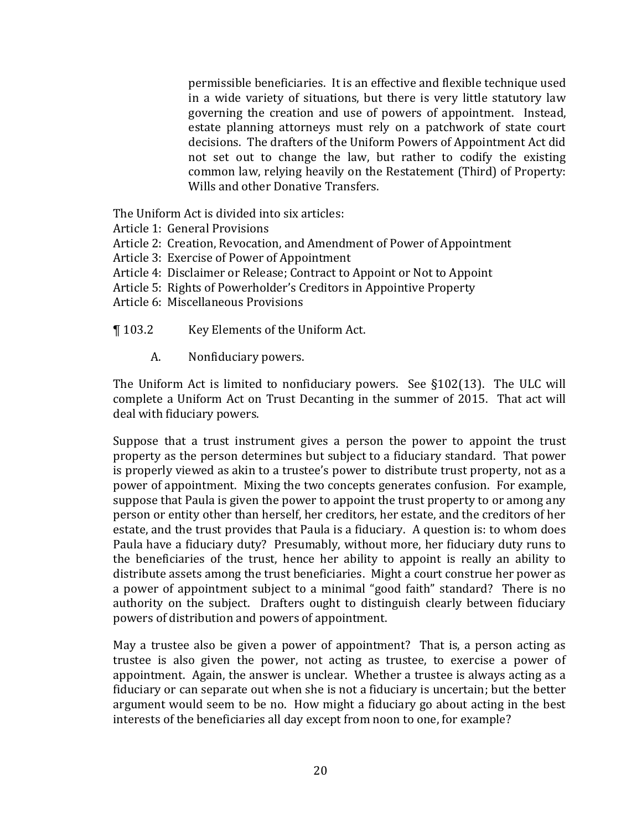permissible beneficiaries. It is an effective and flexible technique used in a wide variety of situations, but there is very little statutory law governing the creation and use of powers of appointment. Instead, estate planning attorneys must rely on a patchwork of state court decisions. The drafters of the Uniform Powers of Appointment Act did not set out to change the law, but rather to codify the existing common law, relying heavily on the Restatement (Third) of Property: Wills and other Donative Transfers.

The Uniform Act is divided into six articles:

- Article 1: General Provisions
- Article 2: Creation, Revocation, and Amendment of Power of Appointment
- Article 3: Exercise of Power of Appointment
- Article 4: Disclaimer or Release; Contract to Appoint or Not to Appoint
- Article 5: Rights of Powerholder's Creditors in Appointive Property
- Article 6: Miscellaneous Provisions

## ¶ 103.2 Key Elements of the Uniform Act.

A. Nonfiduciary powers.

The Uniform Act is limited to nonfiduciary powers. See  $\S 102(13)$ . The ULC will complete a Uniform Act on Trust Decanting in the summer of 2015. That act will deal with fiduciary powers.

Suppose that a trust instrument gives a person the power to appoint the trust property as the person determines but subject to a fiduciary standard. That power is properly viewed as akin to a trustee's power to distribute trust property, not as a power of appointment. Mixing the two concepts generates confusion. For example, suppose that Paula is given the power to appoint the trust property to or among any person or entity other than herself, her creditors, her estate, and the creditors of her estate, and the trust provides that Paula is a fiduciary. A question is: to whom does Paula have a fiduciary duty? Presumably, without more, her fiduciary duty runs to the beneficiaries of the trust, hence her ability to appoint is really an ability to distribute assets among the trust beneficiaries. Might a court construe her power as a power of appointment subject to a minimal "good faith" standard? There is no authority on the subject. Drafters ought to distinguish clearly between fiduciary powers of distribution and powers of appointment.

May a trustee also be given a power of appointment? That is, a person acting as trustee is also given the power, not acting as trustee, to exercise a power of appointment. Again, the answer is unclear. Whether a trustee is always acting as a fiduciary or can separate out when she is not a fiduciary is uncertain; but the better argument would seem to be no. How might a fiduciary go about acting in the best interests of the beneficiaries all day except from noon to one, for example?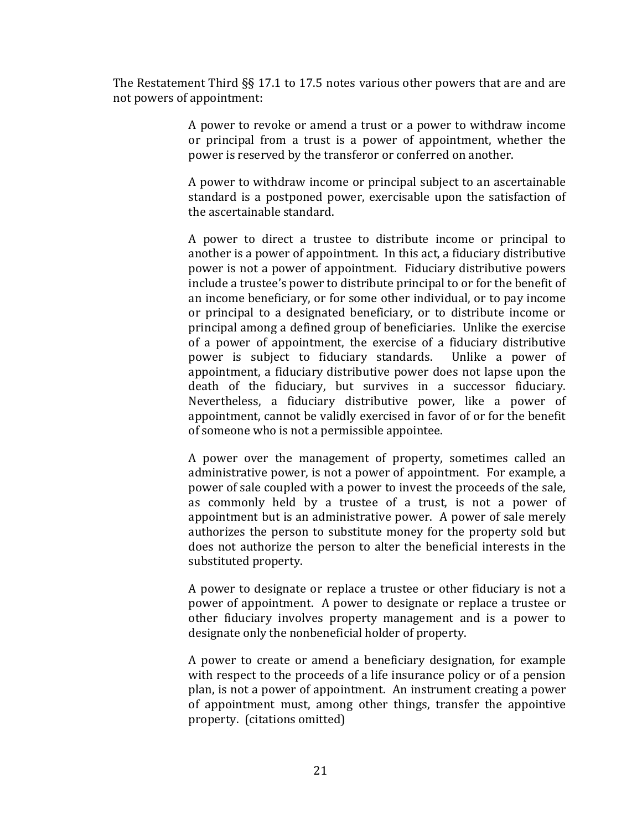The Restatement Third §§ 17.1 to 17.5 notes various other powers that are and are not powers of appointment:

> A power to revoke or amend a trust or a power to withdraw income or principal from a trust is a power of appointment, whether the power is reserved by the transferor or conferred on another.

> A power to withdraw income or principal subject to an ascertainable standard is a postponed power, exercisable upon the satisfaction of the ascertainable standard.

> A power to direct a trustee to distribute income or principal to another is a power of appointment. In this act, a fiduciary distributive power is not a power of appointment. Fiduciary distributive powers include a trustee's power to distribute principal to or for the benefit of an income beneficiary, or for some other individual, or to pay income or principal to a designated beneficiary, or to distribute income or principal among a defined group of beneficiaries. Unlike the exercise of a power of appointment, the exercise of a fiduciary distributive power is subject to fiduciary standards. Unlike a power of appointment, a fiduciary distributive power does not lapse upon the death of the fiduciary, but survives in a successor fiduciary. Nevertheless, a fiduciary distributive power, like a power of appointment, cannot be validly exercised in favor of or for the benefit of someone who is not a permissible appointee.

> A power over the management of property, sometimes called an administrative power, is not a power of appointment. For example, a power of sale coupled with a power to invest the proceeds of the sale, as commonly held by a trustee of a trust, is not a power of appointment but is an administrative power. A power of sale merely authorizes the person to substitute money for the property sold but does not authorize the person to alter the beneficial interests in the substituted property.

> A power to designate or replace a trustee or other fiduciary is not a power of appointment. A power to designate or replace a trustee or other fiduciary involves property management and is a power to designate only the nonbeneficial holder of property.

> A power to create or amend a beneficiary designation, for example with respect to the proceeds of a life insurance policy or of a pension plan, is not a power of appointment. An instrument creating a power of appointment must, among other things, transfer the appointive property. (citations omitted)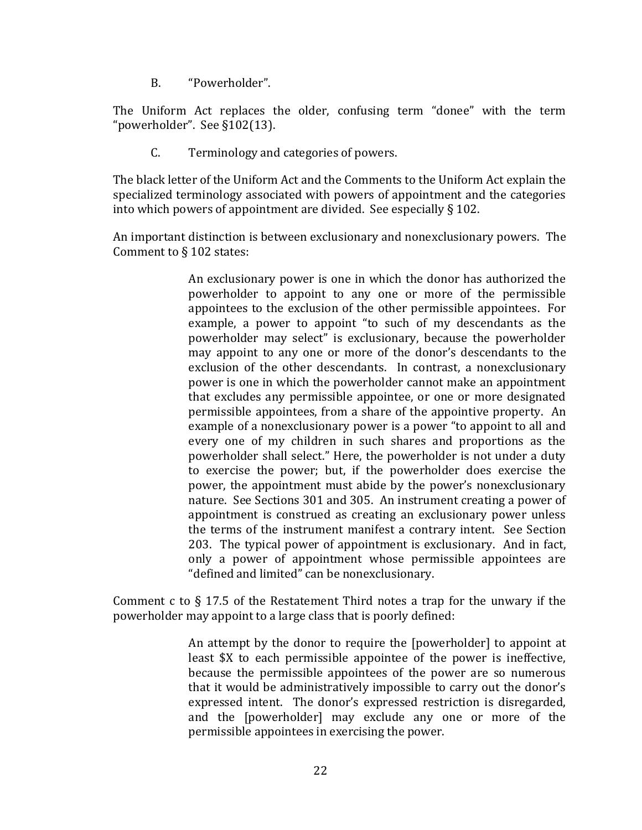B. "Powerholder".

The Uniform Act replaces the older, confusing term "donee" with the term "powerholder". See §102(13).

C. Terminology and categories of powers.

The black letter of the Uniform Act and the Comments to the Uniform Act explain the specialized terminology associated with powers of appointment and the categories into which powers of appointment are divided. See especially § 102.

An important distinction is between exclusionary and nonexclusionary powers. The Comment to § 102 states:

> An exclusionary power is one in which the donor has authorized the powerholder to appoint to any one or more of the permissible appointees to the exclusion of the other permissible appointees. For example, a power to appoint "to such of my descendants as the powerholder may select" is exclusionary, because the powerholder may appoint to any one or more of the donor's descendants to the exclusion of the other descendants. In contrast, a nonexclusionary power is one in which the powerholder cannot make an appointment that excludes any permissible appointee, or one or more designated permissible appointees, from a share of the appointive property. An example of a nonexclusionary power is a power "to appoint to all and every one of my children in such shares and proportions as the powerholder shall select." Here, the powerholder is not under a duty to exercise the power; but, if the powerholder does exercise the power, the appointment must abide by the power's nonexclusionary nature. See Sections 301 and 305. An instrument creating a power of appointment is construed as creating an exclusionary power unless the terms of the instrument manifest a contrary intent. See Section 203. The typical power of appointment is exclusionary. And in fact, only a power of appointment whose permissible appointees are "defined and limited" can be nonexclusionary.

Comment c to  $\S$  17.5 of the Restatement Third notes a trap for the unwary if the powerholder may appoint to a large class that is poorly defined:

> An attempt by the donor to require the [powerholder] to appoint at least \$X to each permissible appointee of the power is ineffective, because the permissible appointees of the power are so numerous that it would be administratively impossible to carry out the donor's expressed intent. The donor's expressed restriction is disregarded, and the [powerholder] may exclude any one or more of the permissible appointees in exercising the power.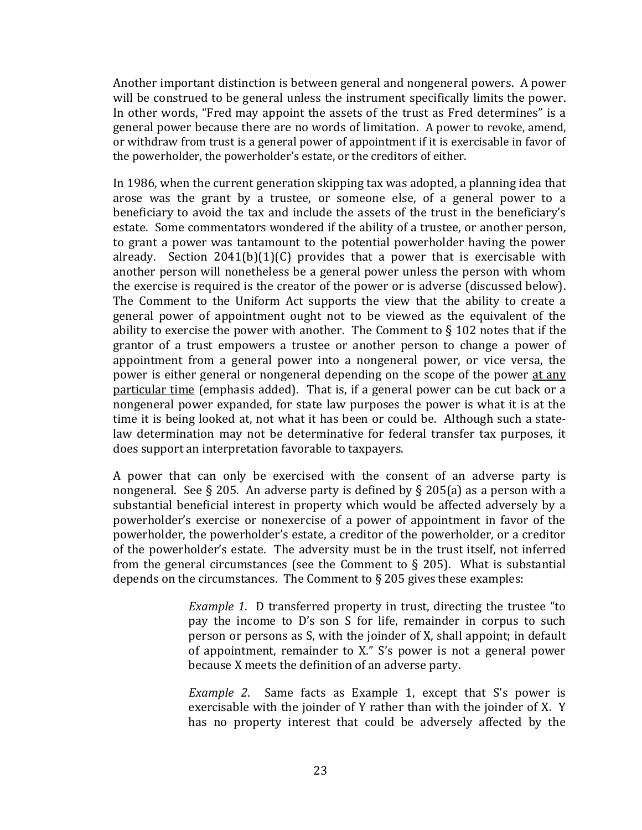Another important distinction is between general and nongeneral powers. A power will be construed to be general unless the instrument specifically limits the power. In other words, "Fred may appoint the assets of the trust as Fred determines" is a general power because there are no words of limitation. A power to revoke, amend, or withdraw from trust is a general power of appointment if it is exercisable in favor of the powerholder, the powerholder's estate, or the creditors of either.

In 1986, when the current generation skipping tax was adopted, a planning idea that arose was the grant by a trustee, or someone else, of a general power to a beneficiary to avoid the tax and include the assets of the trust in the beneficiary's estate. Some commentators wondered if the ability of a trustee, or another person, to grant a power was tantamount to the potential powerholder having the power already. Section  $2041(b)(1)(C)$  provides that a power that is exercisable with another person will nonetheless be a general power unless the person with whom the exercise is required is the creator of the power or is adverse (discussed below). The Comment to the Uniform Act supports the view that the ability to create a general power of appointment ought not to be viewed as the equivalent of the ability to exercise the power with another. The Comment to  $\S$  102 notes that if the grantor of a trust empowers a trustee or another person to change a power of appointment from a general power into a nongeneral power, or vice versa, the power is either general or nongeneral depending on the scope of the power at any particular time (emphasis added). That is, if a general power can be cut back or a nongeneral power expanded, for state law purposes the power is what it is at the time it is being looked at, not what it has been or could be. Although such a statelaw determination may not be determinative for federal transfer tax purposes, it does support an interpretation favorable to taxpayers.

A power that can only be exercised with the consent of an adverse party is nongeneral. See § 205. An adverse party is defined by § 205(a) as a person with a substantial beneficial interest in property which would be affected adversely by a powerholder's exercise or nonexercise of a power of appointment in favor of the powerholder, the powerholder's estate, a creditor of the powerholder, or a creditor of the powerholder's estate. The adversity must be in the trust itself, not inferred from the general circumstances (see the Comment to  $\S$  205). What is substantial depends on the circumstances. The Comment to § 205 gives these examples:

> *Example 1*. D transferred property in trust, directing the trustee "to pay the income to D's son S for life, remainder in corpus to such person or persons as S, with the joinder of X, shall appoint; in default of appointment, remainder to X." S's power is not a general power because X meets the definition of an adverse party.

> *Example 2*. Same facts as Example 1, except that S's power is exercisable with the joinder of Y rather than with the joinder of X. Y has no property interest that could be adversely affected by the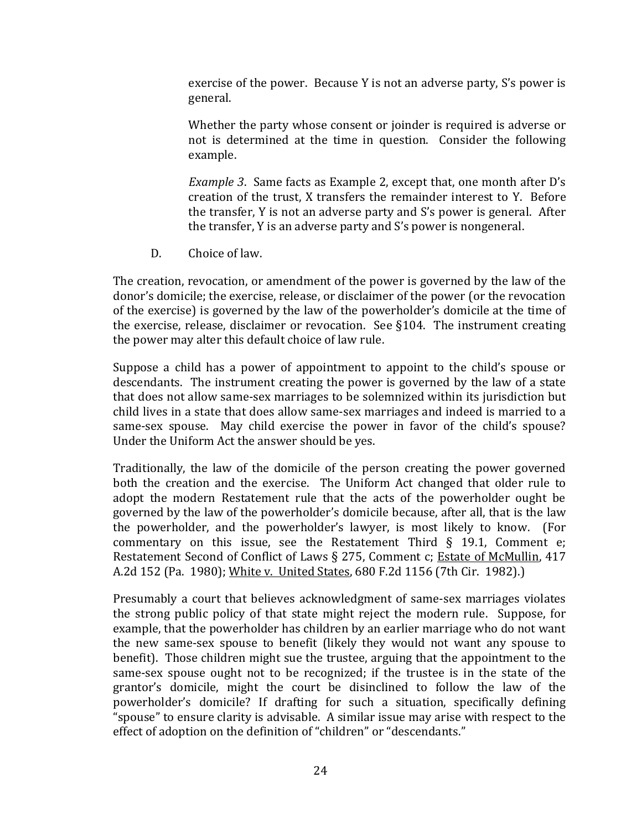exercise of the power. Because Y is not an adverse party, S's power is general.

Whether the party whose consent or joinder is required is adverse or not is determined at the time in question. Consider the following example.

*Example 3*. Same facts as Example 2, except that, one month after D's creation of the trust, X transfers the remainder interest to Y. Before the transfer, Y is not an adverse party and S's power is general. After the transfer, Y is an adverse party and S's power is nongeneral.

D. Choice of law.

The creation, revocation, or amendment of the power is governed by the law of the donor's domicile; the exercise, release, or disclaimer of the power (or the revocation of the exercise) is governed by the law of the powerholder's domicile at the time of the exercise, release, disclaimer or revocation. See §104. The instrument creating the power may alter this default choice of law rule.

Suppose a child has a power of appointment to appoint to the child's spouse or descendants. The instrument creating the power is governed by the law of a state that does not allow same-sex marriages to be solemnized within its jurisdiction but child lives in a state that does allow same-sex marriages and indeed is married to a same-sex spouse. May child exercise the power in favor of the child's spouse? Under the Uniform Act the answer should be yes.

Traditionally, the law of the domicile of the person creating the power governed both the creation and the exercise. The Uniform Act changed that older rule to adopt the modern Restatement rule that the acts of the powerholder ought be governed by the law of the powerholder's domicile because, after all, that is the law the powerholder, and the powerholder's lawyer, is most likely to know. (For commentary on this issue, see the Restatement Third  $\S$  19.1, Comment e; Restatement Second of Conflict of Laws § 275, Comment c; Estate of McMullin, 417 A.2d 152 (Pa. 1980); White v. United States, 680 F.2d 1156 (7th Cir. 1982).)

Presumably a court that believes acknowledgment of same-sex marriages violates the strong public policy of that state might reject the modern rule. Suppose, for example, that the powerholder has children by an earlier marriage who do not want the new same-sex spouse to benefit (likely they would not want any spouse to benefit). Those children might sue the trustee, arguing that the appointment to the same-sex spouse ought not to be recognized; if the trustee is in the state of the grantor's domicile, might the court be disinclined to follow the law of the powerholder's domicile? If drafting for such a situation, specifically defining "spouse" to ensure clarity is advisable. A similar issue may arise with respect to the effect of adoption on the definition of "children" or "descendants."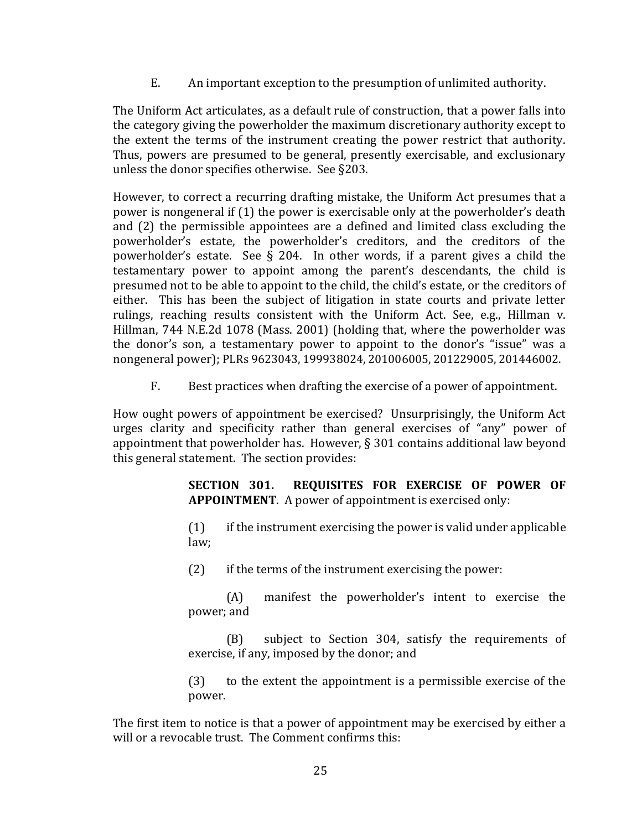E. An important exception to the presumption of unlimited authority.

The Uniform Act articulates, as a default rule of construction, that a power falls into the category giving the powerholder the maximum discretionary authority except to the extent the terms of the instrument creating the power restrict that authority. Thus, powers are presumed to be general, presently exercisable, and exclusionary unless the donor specifies otherwise. See §203.

However, to correct a recurring drafting mistake, the Uniform Act presumes that a power is nongeneral if (1) the power is exercisable only at the powerholder's death and (2) the permissible appointees are a defined and limited class excluding the powerholder's estate, the powerholder's creditors, and the creditors of the powerholder's estate. See § 204. In other words, if a parent gives a child the testamentary power to appoint among the parent's descendants, the child is presumed not to be able to appoint to the child, the child's estate, or the creditors of either. This has been the subject of litigation in state courts and private letter rulings, reaching results consistent with the Uniform Act. See, e.g., Hillman v. Hillman, 744 N.E.2d 1078 (Mass. 2001) (holding that, where the powerholder was the donor's son, a testamentary power to appoint to the donor's "issue" was a nongeneral power); PLRs 9623043, 199938024, 201006005, 201229005, 201446002.

F. Best practices when drafting the exercise of a power of appointment.

How ought powers of appointment be exercised? Unsurprisingly, the Uniform Act urges clarity and specificity rather than general exercises of "any" power of appointment that powerholder has. However, § 301 contains additional law beyond this general statement. The section provides:

> **SECTION 301. REQUISITES FOR EXERCISE OF POWER OF APPOINTMENT**. A power of appointment is exercised only:

> (1) if the instrument exercising the power is valid under applicable law;

(2) if the terms of the instrument exercising the power:

(A) manifest the powerholder's intent to exercise the power; and

(B) subject to Section 304, satisfy the requirements of exercise, if any, imposed by the donor; and

(3) to the extent the appointment is a permissible exercise of the power.

The first item to notice is that a power of appointment may be exercised by either a will or a revocable trust. The Comment confirms this: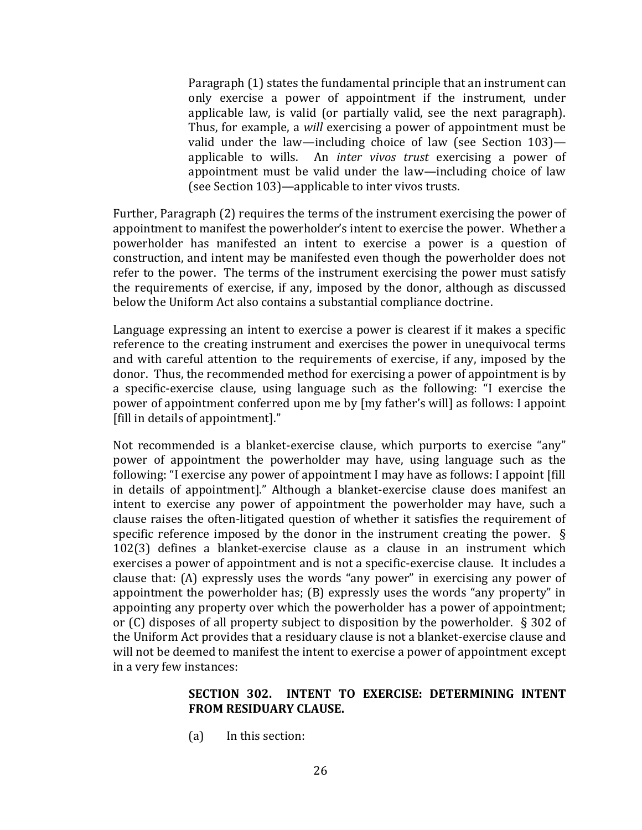Paragraph (1) states the fundamental principle that an instrument can only exercise a power of appointment if the instrument, under applicable law, is valid (or partially valid, see the next paragraph). Thus, for example, a *will* exercising a power of appointment must be valid under the law—including choice of law (see Section 103) applicable to wills. An *inter vivos trust* exercising a power of appointment must be valid under the law—including choice of law (see Section 103)—applicable to inter vivos trusts.

Further, Paragraph (2) requires the terms of the instrument exercising the power of appointment to manifest the powerholder's intent to exercise the power. Whether a powerholder has manifested an intent to exercise a power is a question of construction, and intent may be manifested even though the powerholder does not refer to the power. The terms of the instrument exercising the power must satisfy the requirements of exercise, if any, imposed by the donor, although as discussed below the Uniform Act also contains a substantial compliance doctrine.

Language expressing an intent to exercise a power is clearest if it makes a specific reference to the creating instrument and exercises the power in unequivocal terms and with careful attention to the requirements of exercise, if any, imposed by the donor. Thus, the recommended method for exercising a power of appointment is by a specific-exercise clause, using language such as the following: "I exercise the power of appointment conferred upon me by [my father's will] as follows: I appoint [fill in details of appointment]."

Not recommended is a blanket-exercise clause, which purports to exercise "any" power of appointment the powerholder may have, using language such as the following: "I exercise any power of appointment I may have as follows: I appoint [fill in details of appointment]." Although a blanket-exercise clause does manifest an intent to exercise any power of appointment the powerholder may have, such a clause raises the often-litigated question of whether it satisfies the requirement of specific reference imposed by the donor in the instrument creating the power. § 102(3) defines a blanket-exercise clause as a clause in an instrument which exercises a power of appointment and is not a specific-exercise clause. It includes a clause that: (A) expressly uses the words "any power" in exercising any power of appointment the powerholder has; (B) expressly uses the words "any property" in appointing any property over which the powerholder has a power of appointment; or (C) disposes of all property subject to disposition by the powerholder. § 302 of the Uniform Act provides that a residuary clause is not a blanket-exercise clause and will not be deemed to manifest the intent to exercise a power of appointment except in a very few instances:

## **SECTION 302. INTENT TO EXERCISE: DETERMINING INTENT FROM RESIDUARY CLAUSE.**

(a) In this section: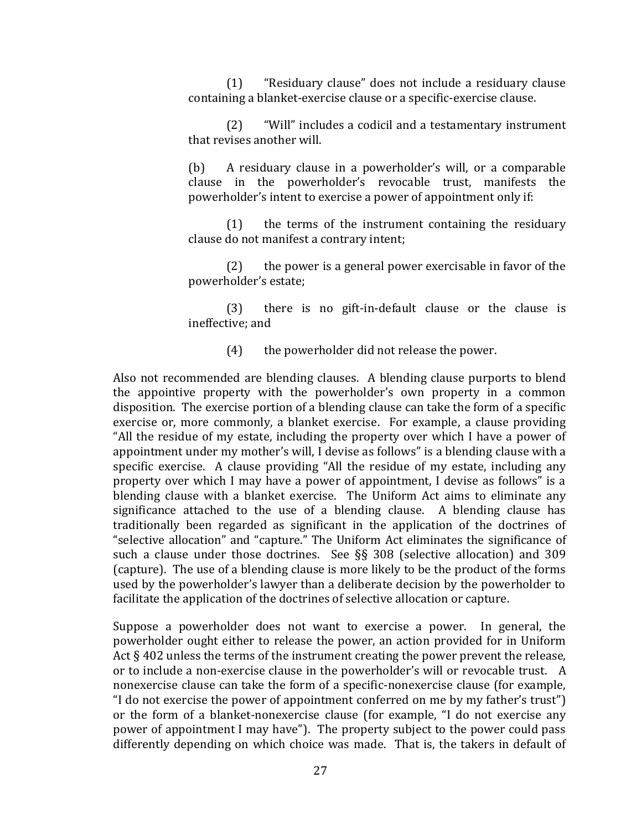(1) "Residuary clause" does not include a residuary clause containing a blanket-exercise clause or a specific-exercise clause.

(2) "Will" includes a codicil and a testamentary instrument that revises another will.

(b) A residuary clause in a powerholder's will, or a comparable clause in the powerholder's revocable trust, manifests the powerholder's intent to exercise a power of appointment only if:

(1) the terms of the instrument containing the residuary clause do not manifest a contrary intent;

(2) the power is a general power exercisable in favor of the powerholder's estate;

(3) there is no gift-in-default clause or the clause is ineffective; and

(4) the powerholder did not release the power.

Also not recommended are blending clauses. A blending clause purports to blend the appointive property with the powerholder's own property in a common disposition. The exercise portion of a blending clause can take the form of a specific exercise or, more commonly, a blanket exercise. For example, a clause providing "All the residue of my estate, including the property over which I have a power of appointment under my mother's will, I devise as follows" is a blending clause with a specific exercise. A clause providing "All the residue of my estate, including any property over which I may have a power of appointment, I devise as follows" is a blending clause with a blanket exercise. The Uniform Act aims to eliminate any significance attached to the use of a blending clause. A blending clause has traditionally been regarded as significant in the application of the doctrines of "selective allocation" and "capture." The Uniform Act eliminates the significance of such a clause under those doctrines. See §§ 308 (selective allocation) and 309 (capture). The use of a blending clause is more likely to be the product of the forms used by the powerholder's lawyer than a deliberate decision by the powerholder to facilitate the application of the doctrines of selective allocation or capture.

Suppose a powerholder does not want to exercise a power. In general, the powerholder ought either to release the power, an action provided for in Uniform Act § 402 unless the terms of the instrument creating the power prevent the release, or to include a non-exercise clause in the powerholder's will or revocable trust. A nonexercise clause can take the form of a specific-nonexercise clause (for example, "I do not exercise the power of appointment conferred on me by my father's trust") or the form of a blanket-nonexercise clause (for example, "I do not exercise any power of appointment I may have"). The property subject to the power could pass differently depending on which choice was made. That is, the takers in default of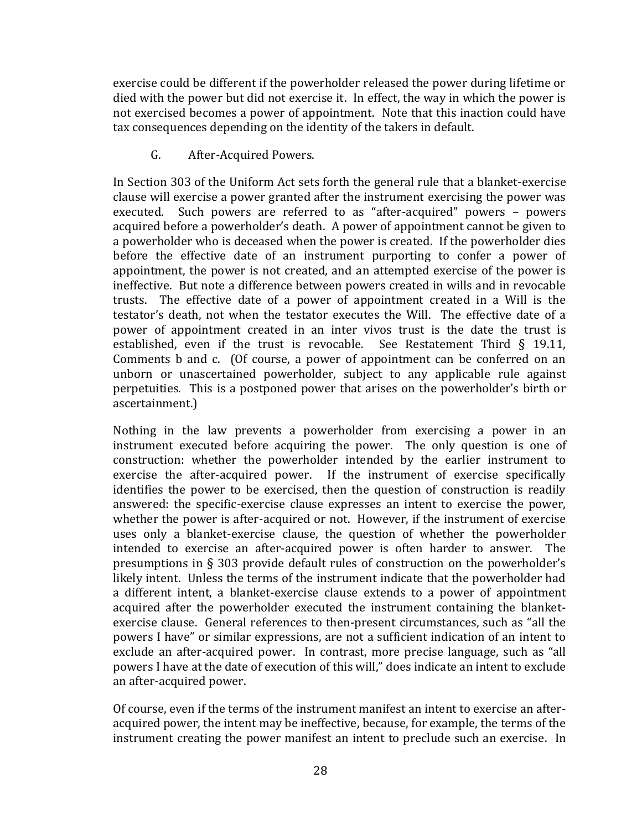exercise could be different if the powerholder released the power during lifetime or died with the power but did not exercise it. In effect, the way in which the power is not exercised becomes a power of appointment. Note that this inaction could have tax consequences depending on the identity of the takers in default.

G. After-Acquired Powers.

In Section 303 of the Uniform Act sets forth the general rule that a blanket-exercise clause will exercise a power granted after the instrument exercising the power was executed. Such powers are referred to as "after-acquired" powers – powers acquired before a powerholder's death. A power of appointment cannot be given to a powerholder who is deceased when the power is created. If the powerholder dies before the effective date of an instrument purporting to confer a power of appointment, the power is not created, and an attempted exercise of the power is ineffective. But note a difference between powers created in wills and in revocable trusts. The effective date of a power of appointment created in a Will is the testator's death, not when the testator executes the Will. The effective date of a power of appointment created in an inter vivos trust is the date the trust is established, even if the trust is revocable. See Restatement Third § 19.11, Comments b and c. (Of course, a power of appointment can be conferred on an unborn or unascertained powerholder, subject to any applicable rule against perpetuities. This is a postponed power that arises on the powerholder's birth or ascertainment.)

Nothing in the law prevents a powerholder from exercising a power in an instrument executed before acquiring the power. The only question is one of construction: whether the powerholder intended by the earlier instrument to exercise the after-acquired power. If the instrument of exercise specifically identifies the power to be exercised, then the question of construction is readily answered: the specific-exercise clause expresses an intent to exercise the power, whether the power is after-acquired or not. However, if the instrument of exercise uses only a blanket-exercise clause, the question of whether the powerholder intended to exercise an after-acquired power is often harder to answer. The presumptions in § 303 provide default rules of construction on the powerholder's likely intent. Unless the terms of the instrument indicate that the powerholder had a different intent, a blanket-exercise clause extends to a power of appointment acquired after the powerholder executed the instrument containing the blanketexercise clause. General references to then-present circumstances, such as "all the powers I have" or similar expressions, are not a sufficient indication of an intent to exclude an after-acquired power. In contrast, more precise language, such as "all powers I have at the date of execution of this will," does indicate an intent to exclude an after-acquired power.

Of course, even if the terms of the instrument manifest an intent to exercise an afteracquired power, the intent may be ineffective, because, for example, the terms of the instrument creating the power manifest an intent to preclude such an exercise. In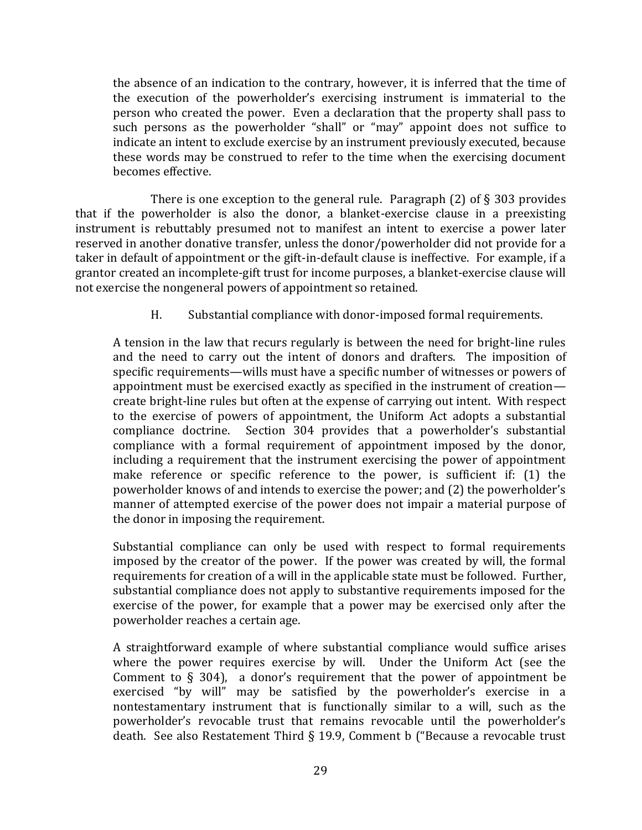the absence of an indication to the contrary, however, it is inferred that the time of the execution of the powerholder's exercising instrument is immaterial to the person who created the power. Even a declaration that the property shall pass to such persons as the powerholder "shall" or "may" appoint does not suffice to indicate an intent to exclude exercise by an instrument previously executed, because these words may be construed to refer to the time when the exercising document becomes effective.

There is one exception to the general rule. Paragraph  $(2)$  of § 303 provides that if the powerholder is also the donor, a blanket-exercise clause in a preexisting instrument is rebuttably presumed not to manifest an intent to exercise a power later reserved in another donative transfer, unless the donor/powerholder did not provide for a taker in default of appointment or the gift-in-default clause is ineffective. For example, if a grantor created an incomplete-gift trust for income purposes, a blanket-exercise clause will not exercise the nongeneral powers of appointment so retained.

H. Substantial compliance with donor-imposed formal requirements.

A tension in the law that recurs regularly is between the need for bright-line rules and the need to carry out the intent of donors and drafters. The imposition of specific requirements—wills must have a specific number of witnesses or powers of appointment must be exercised exactly as specified in the instrument of creation create bright-line rules but often at the expense of carrying out intent. With respect to the exercise of powers of appointment, the Uniform Act adopts a substantial compliance doctrine. Section 304 provides that a powerholder's substantial compliance with a formal requirement of appointment imposed by the donor, including a requirement that the instrument exercising the power of appointment make reference or specific reference to the power, is sufficient if: (1) the powerholder knows of and intends to exercise the power; and (2) the powerholder's manner of attempted exercise of the power does not impair a material purpose of the donor in imposing the requirement.

Substantial compliance can only be used with respect to formal requirements imposed by the creator of the power. If the power was created by will, the formal requirements for creation of a will in the applicable state must be followed. Further, substantial compliance does not apply to substantive requirements imposed for the exercise of the power, for example that a power may be exercised only after the powerholder reaches a certain age.

A straightforward example of where substantial compliance would suffice arises where the power requires exercise by will. Under the Uniform Act (see the Comment to  $\S$  304), a donor's requirement that the power of appointment be exercised "by will" may be satisfied by the powerholder's exercise in a nontestamentary instrument that is functionally similar to a will, such as the powerholder's revocable trust that remains revocable until the powerholder's death. See also Restatement Third § 19.9, Comment b ("Because a revocable trust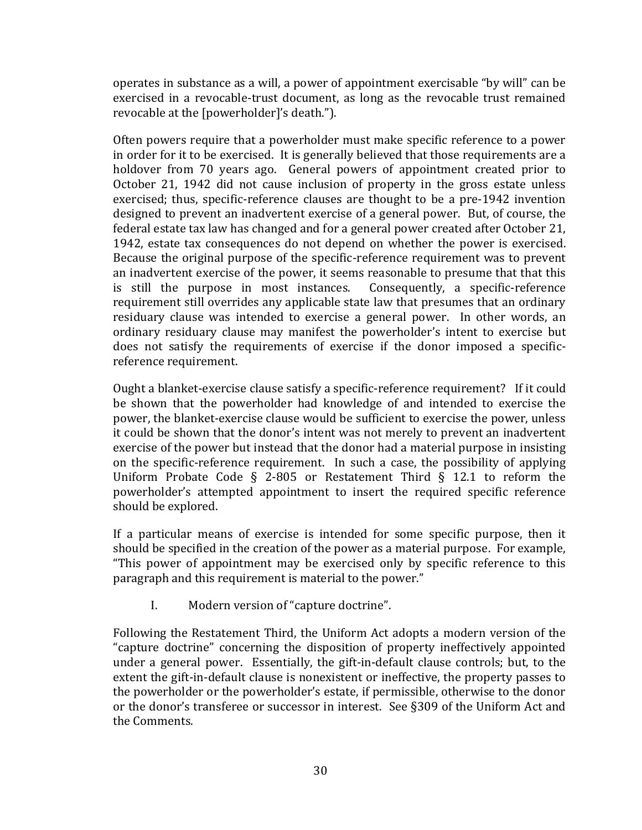operates in substance as a will, a power of appointment exercisable "by will" can be exercised in a revocable-trust document, as long as the revocable trust remained revocable at the [powerholder]'s death.").

Often powers require that a powerholder must make specific reference to a power in order for it to be exercised. It is generally believed that those requirements are a holdover from 70 years ago. General powers of appointment created prior to October 21, 1942 did not cause inclusion of property in the gross estate unless exercised; thus, specific-reference clauses are thought to be a pre-1942 invention designed to prevent an inadvertent exercise of a general power. But, of course, the federal estate tax law has changed and for a general power created after October 21, 1942, estate tax consequences do not depend on whether the power is exercised. Because the original purpose of the specific-reference requirement was to prevent an inadvertent exercise of the power, it seems reasonable to presume that that this is still the purpose in most instances. Consequently, a specific-reference requirement still overrides any applicable state law that presumes that an ordinary residuary clause was intended to exercise a general power. In other words, an ordinary residuary clause may manifest the powerholder's intent to exercise but does not satisfy the requirements of exercise if the donor imposed a specificreference requirement.

Ought a blanket-exercise clause satisfy a specific-reference requirement? If it could be shown that the powerholder had knowledge of and intended to exercise the power, the blanket-exercise clause would be sufficient to exercise the power, unless it could be shown that the donor's intent was not merely to prevent an inadvertent exercise of the power but instead that the donor had a material purpose in insisting on the specific-reference requirement. In such a case, the possibility of applying Uniform Probate Code § 2-805 or Restatement Third § 12.1 to reform the powerholder's attempted appointment to insert the required specific reference should be explored.

If a particular means of exercise is intended for some specific purpose, then it should be specified in the creation of the power as a material purpose. For example, "This power of appointment may be exercised only by specific reference to this paragraph and this requirement is material to the power."

I. Modern version of "capture doctrine".

Following the Restatement Third, the Uniform Act adopts a modern version of the "capture doctrine" concerning the disposition of property ineffectively appointed under a general power. Essentially, the gift-in-default clause controls; but, to the extent the gift-in-default clause is nonexistent or ineffective, the property passes to the powerholder or the powerholder's estate, if permissible, otherwise to the donor or the donor's transferee or successor in interest. See §309 of the Uniform Act and the Comments.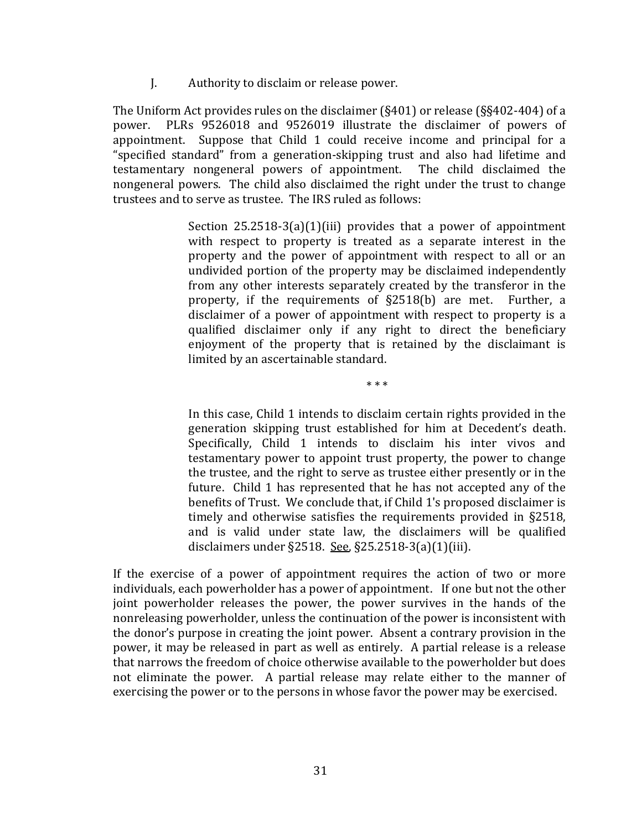J. Authority to disclaim or release power.

The Uniform Act provides rules on the disclaimer (§401) or release (§§402-404) of a power. PLRs 9526018 and 9526019 illustrate the disclaimer of powers of appointment. Suppose that Child 1 could receive income and principal for a "specified standard" from a generation-skipping trust and also had lifetime and testamentary nongeneral powers of appointment. The child disclaimed the nongeneral powers. The child also disclaimed the right under the trust to change trustees and to serve as trustee. The IRS ruled as follows:

> Section 25.2518-3(a)(1)(iii) provides that a power of appointment with respect to property is treated as a separate interest in the property and the power of appointment with respect to all or an undivided portion of the property may be disclaimed independently from any other interests separately created by the transferor in the property, if the requirements of §2518(b) are met. Further, a disclaimer of a power of appointment with respect to property is a qualified disclaimer only if any right to direct the beneficiary enjoyment of the property that is retained by the disclaimant is limited by an ascertainable standard.

> > \* \* \*

In this case, Child 1 intends to disclaim certain rights provided in the generation skipping trust established for him at Decedent's death. Specifically, Child 1 intends to disclaim his inter vivos and testamentary power to appoint trust property, the power to change the trustee, and the right to serve as trustee either presently or in the future. Child 1 has represented that he has not accepted any of the benefits of Trust. We conclude that, if Child 1's proposed disclaimer is timely and otherwise satisfies the requirements provided in §2518, and is valid under state law, the disclaimers will be qualified disclaimers under §2518. See, §25.2518-3(a)(1)(iii).

If the exercise of a power of appointment requires the action of two or more individuals, each powerholder has a power of appointment. If one but not the other joint powerholder releases the power, the power survives in the hands of the nonreleasing powerholder, unless the continuation of the power is inconsistent with the donor's purpose in creating the joint power. Absent a contrary provision in the power, it may be released in part as well as entirely. A partial release is a release that narrows the freedom of choice otherwise available to the powerholder but does not eliminate the power. A partial release may relate either to the manner of exercising the power or to the persons in whose favor the power may be exercised.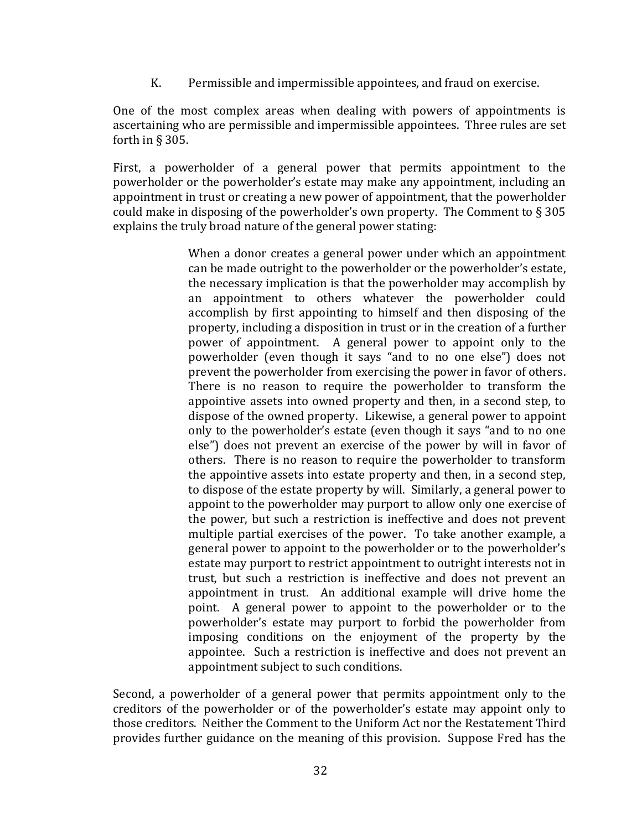K. Permissible and impermissible appointees, and fraud on exercise.

One of the most complex areas when dealing with powers of appointments is ascertaining who are permissible and impermissible appointees. Three rules are set forth in § 305.

First, a powerholder of a general power that permits appointment to the powerholder or the powerholder's estate may make any appointment, including an appointment in trust or creating a new power of appointment, that the powerholder could make in disposing of the powerholder's own property. The Comment to § 305 explains the truly broad nature of the general power stating:

> When a donor creates a general power under which an appointment can be made outright to the powerholder or the powerholder's estate, the necessary implication is that the powerholder may accomplish by an appointment to others whatever the powerholder could accomplish by first appointing to himself and then disposing of the property, including a disposition in trust or in the creation of a further power of appointment. A general power to appoint only to the powerholder (even though it says "and to no one else") does not prevent the powerholder from exercising the power in favor of others. There is no reason to require the powerholder to transform the appointive assets into owned property and then, in a second step, to dispose of the owned property. Likewise, a general power to appoint only to the powerholder's estate (even though it says "and to no one else") does not prevent an exercise of the power by will in favor of others. There is no reason to require the powerholder to transform the appointive assets into estate property and then, in a second step, to dispose of the estate property by will. Similarly, a general power to appoint to the powerholder may purport to allow only one exercise of the power, but such a restriction is ineffective and does not prevent multiple partial exercises of the power. To take another example, a general power to appoint to the powerholder or to the powerholder's estate may purport to restrict appointment to outright interests not in trust, but such a restriction is ineffective and does not prevent an appointment in trust. An additional example will drive home the point. A general power to appoint to the powerholder or to the powerholder's estate may purport to forbid the powerholder from imposing conditions on the enjoyment of the property by the appointee. Such a restriction is ineffective and does not prevent an appointment subject to such conditions.

Second, a powerholder of a general power that permits appointment only to the creditors of the powerholder or of the powerholder's estate may appoint only to those creditors. Neither the Comment to the Uniform Act nor the Restatement Third provides further guidance on the meaning of this provision. Suppose Fred has the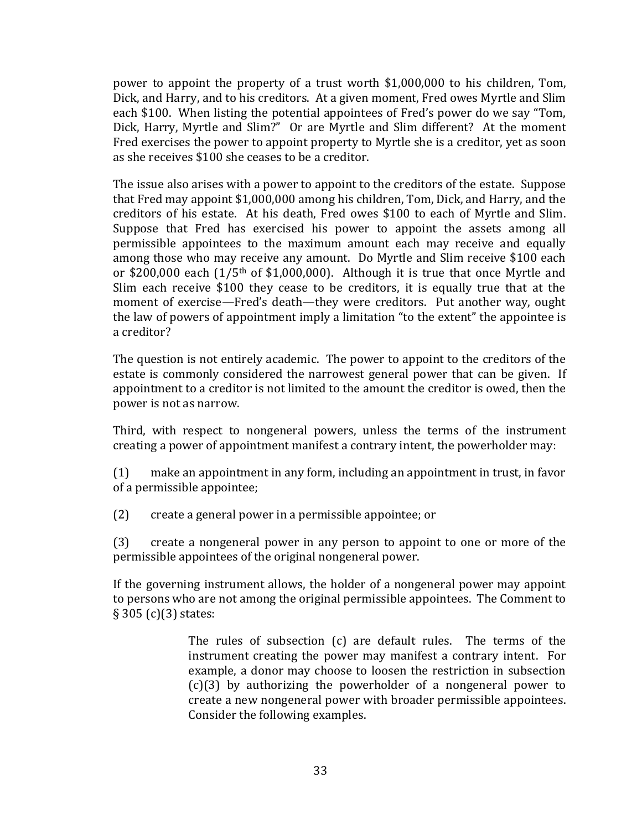power to appoint the property of a trust worth \$1,000,000 to his children, Tom, Dick, and Harry, and to his creditors. At a given moment, Fred owes Myrtle and Slim each \$100. When listing the potential appointees of Fred's power do we say "Tom, Dick, Harry, Myrtle and Slim?" Or are Myrtle and Slim different? At the moment Fred exercises the power to appoint property to Myrtle she is a creditor, yet as soon as she receives \$100 she ceases to be a creditor.

The issue also arises with a power to appoint to the creditors of the estate. Suppose that Fred may appoint \$1,000,000 among his children, Tom, Dick, and Harry, and the creditors of his estate. At his death, Fred owes \$100 to each of Myrtle and Slim. Suppose that Fred has exercised his power to appoint the assets among all permissible appointees to the maximum amount each may receive and equally among those who may receive any amount. Do Myrtle and Slim receive \$100 each or \$200,000 each  $(1/5<sup>th</sup>$  of \$1,000,000). Although it is true that once Myrtle and Slim each receive \$100 they cease to be creditors, it is equally true that at the moment of exercise—Fred's death—they were creditors. Put another way, ought the law of powers of appointment imply a limitation "to the extent" the appointee is a creditor?

The question is not entirely academic. The power to appoint to the creditors of the estate is commonly considered the narrowest general power that can be given. If appointment to a creditor is not limited to the amount the creditor is owed, then the power is not as narrow.

Third, with respect to nongeneral powers, unless the terms of the instrument creating a power of appointment manifest a contrary intent, the powerholder may:

(1) make an appointment in any form, including an appointment in trust, in favor of a permissible appointee;

(2) create a general power in a permissible appointee; or

(3) create a nongeneral power in any person to appoint to one or more of the permissible appointees of the original nongeneral power.

If the governing instrument allows, the holder of a nongeneral power may appoint to persons who are not among the original permissible appointees. The Comment to § 305 (c)(3) states:

> The rules of subsection (c) are default rules. The terms of the instrument creating the power may manifest a contrary intent. For example, a donor may choose to loosen the restriction in subsection (c)(3) by authorizing the powerholder of a nongeneral power to create a new nongeneral power with broader permissible appointees. Consider the following examples.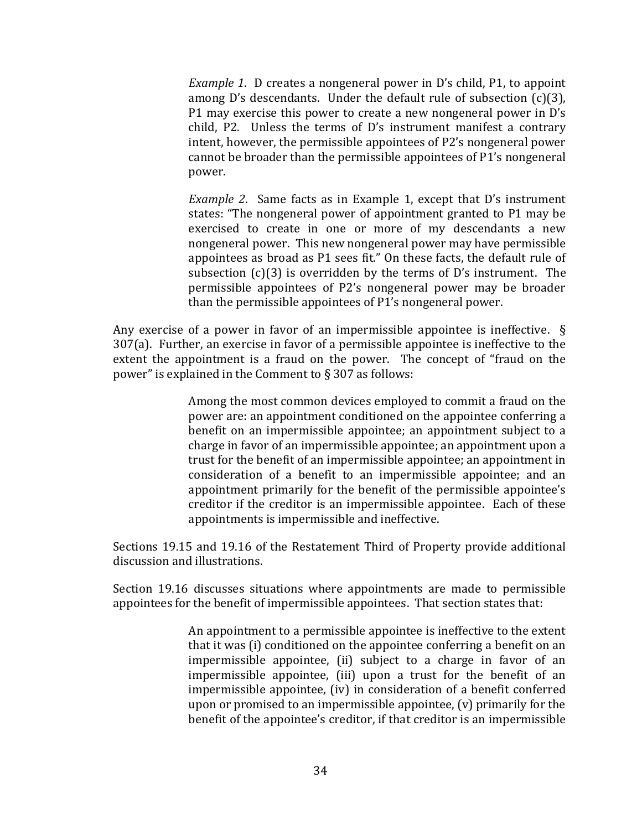*Example 1*. D creates a nongeneral power in D's child, P1, to appoint among D's descendants. Under the default rule of subsection (c)(3), P1 may exercise this power to create a new nongeneral power in D's child, P2. Unless the terms of D's instrument manifest a contrary intent, however, the permissible appointees of P2's nongeneral power cannot be broader than the permissible appointees of P1's nongeneral power.

*Example 2*. Same facts as in Example 1, except that D's instrument states: "The nongeneral power of appointment granted to P1 may be exercised to create in one or more of my descendants a new nongeneral power. This new nongeneral power may have permissible appointees as broad as P1 sees fit." On these facts, the default rule of subsection (c)(3) is overridden by the terms of D's instrument. The permissible appointees of P2's nongeneral power may be broader than the permissible appointees of P1's nongeneral power.

Any exercise of a power in favor of an impermissible appointee is ineffective. § 307(a). Further, an exercise in favor of a permissible appointee is ineffective to the extent the appointment is a fraud on the power. The concept of "fraud on the power" is explained in the Comment to § 307 as follows:

> Among the most common devices employed to commit a fraud on the power are: an appointment conditioned on the appointee conferring a benefit on an impermissible appointee; an appointment subject to a charge in favor of an impermissible appointee; an appointment upon a trust for the benefit of an impermissible appointee; an appointment in consideration of a benefit to an impermissible appointee; and an appointment primarily for the benefit of the permissible appointee's creditor if the creditor is an impermissible appointee. Each of these appointments is impermissible and ineffective.

Sections 19.15 and 19.16 of the Restatement Third of Property provide additional discussion and illustrations.

Section 19.16 discusses situations where appointments are made to permissible appointees for the benefit of impermissible appointees. That section states that:

> An appointment to a permissible appointee is ineffective to the extent that it was (i) conditioned on the appointee conferring a benefit on an impermissible appointee, (ii) subject to a charge in favor of an impermissible appointee, (iii) upon a trust for the benefit of an impermissible appointee, (iv) in consideration of a benefit conferred upon or promised to an impermissible appointee, (v) primarily for the benefit of the appointee's creditor, if that creditor is an impermissible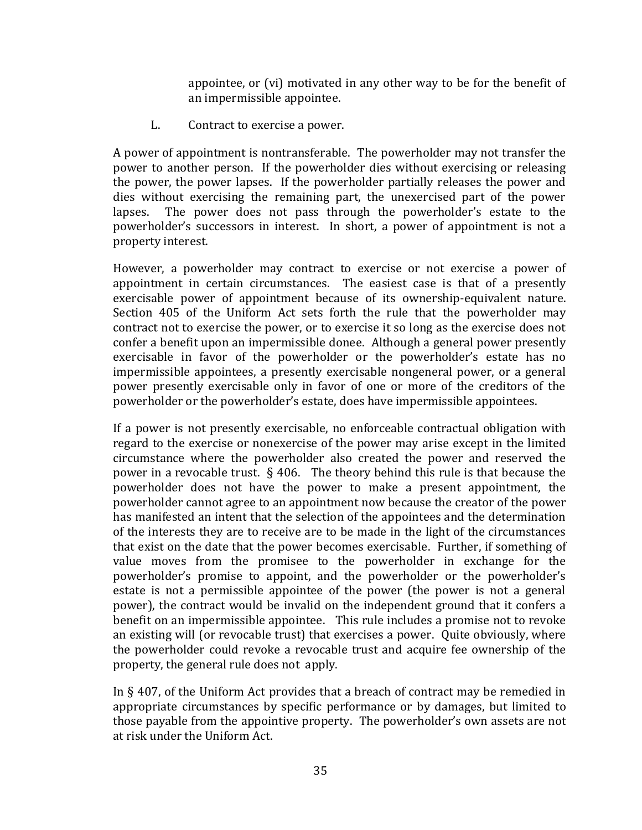appointee, or (vi) motivated in any other way to be for the benefit of an impermissible appointee.

L. Contract to exercise a power.

A power of appointment is nontransferable. The powerholder may not transfer the power to another person. If the powerholder dies without exercising or releasing the power, the power lapses. If the powerholder partially releases the power and dies without exercising the remaining part, the unexercised part of the power lapses. The power does not pass through the powerholder's estate to the powerholder's successors in interest. In short, a power of appointment is not a property interest.

However, a powerholder may contract to exercise or not exercise a power of appointment in certain circumstances. The easiest case is that of a presently exercisable power of appointment because of its ownership-equivalent nature. Section 405 of the Uniform Act sets forth the rule that the powerholder may contract not to exercise the power, or to exercise it so long as the exercise does not confer a benefit upon an impermissible donee. Although a general power presently exercisable in favor of the powerholder or the powerholder's estate has no impermissible appointees, a presently exercisable nongeneral power, or a general power presently exercisable only in favor of one or more of the creditors of the powerholder or the powerholder's estate, does have impermissible appointees.

If a power is not presently exercisable, no enforceable contractual obligation with regard to the exercise or nonexercise of the power may arise except in the limited circumstance where the powerholder also created the power and reserved the power in a revocable trust. § 406. The theory behind this rule is that because the powerholder does not have the power to make a present appointment, the powerholder cannot agree to an appointment now because the creator of the power has manifested an intent that the selection of the appointees and the determination of the interests they are to receive are to be made in the light of the circumstances that exist on the date that the power becomes exercisable. Further, if something of value moves from the promisee to the powerholder in exchange for the powerholder's promise to appoint, and the powerholder or the powerholder's estate is not a permissible appointee of the power (the power is not a general power), the contract would be invalid on the independent ground that it confers a benefit on an impermissible appointee. This rule includes a promise not to revoke an existing will (or revocable trust) that exercises a power. Quite obviously, where the powerholder could revoke a revocable trust and acquire fee ownership of the property, the general rule does not apply.

In § 407, of the Uniform Act provides that a breach of contract may be remedied in appropriate circumstances by specific performance or by damages, but limited to those payable from the appointive property. The powerholder's own assets are not at risk under the Uniform Act.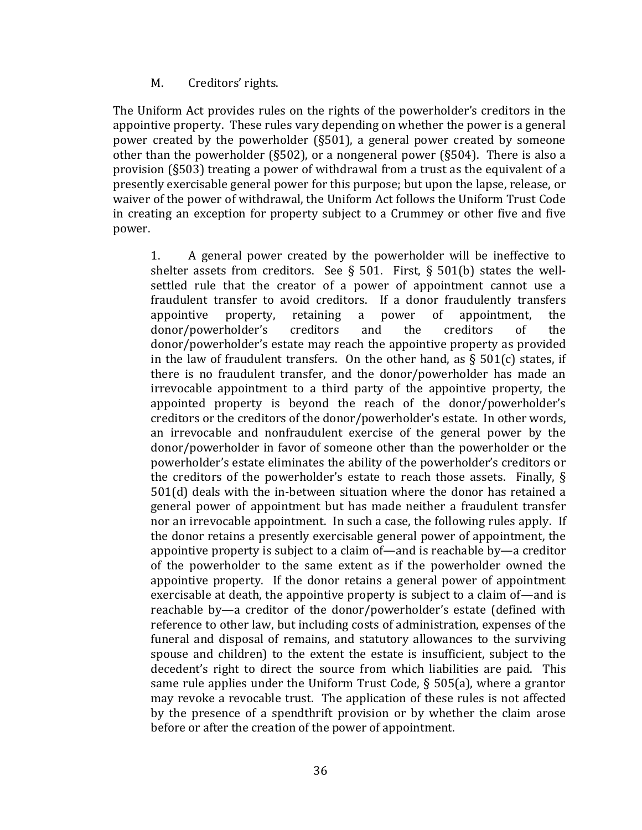M. Creditors' rights.

The Uniform Act provides rules on the rights of the powerholder's creditors in the appointive property. These rules vary depending on whether the power is a general power created by the powerholder (§501), a general power created by someone other than the powerholder (§502), or a nongeneral power (§504). There is also a provision (§503) treating a power of withdrawal from a trust as the equivalent of a presently exercisable general power for this purpose; but upon the lapse, release, or waiver of the power of withdrawal, the Uniform Act follows the Uniform Trust Code in creating an exception for property subject to a Crummey or other five and five power.

1. A general power created by the powerholder will be ineffective to shelter assets from creditors. See  $\S$  501. First,  $\S$  501(b) states the wellsettled rule that the creator of a power of appointment cannot use a fraudulent transfer to avoid creditors. If a donor fraudulently transfers appointive property, retaining a power of appointment, the donor/powerholder's creditors and the creditors of the donor/powerholder's estate may reach the appointive property as provided in the law of fraudulent transfers. On the other hand, as  $\S 501(c)$  states, if there is no fraudulent transfer, and the donor/powerholder has made an irrevocable appointment to a third party of the appointive property, the appointed property is beyond the reach of the donor/powerholder's creditors or the creditors of the donor/powerholder's estate. In other words, an irrevocable and nonfraudulent exercise of the general power by the donor/powerholder in favor of someone other than the powerholder or the powerholder's estate eliminates the ability of the powerholder's creditors or the creditors of the powerholder's estate to reach those assets. Finally, § 501(d) deals with the in-between situation where the donor has retained a general power of appointment but has made neither a fraudulent transfer nor an irrevocable appointment. In such a case, the following rules apply. If the donor retains a presently exercisable general power of appointment, the appointive property is subject to a claim of—and is reachable by—a creditor of the powerholder to the same extent as if the powerholder owned the appointive property. If the donor retains a general power of appointment exercisable at death, the appointive property is subject to a claim of—and is reachable by—a creditor of the donor/powerholder's estate (defined with reference to other law, but including costs of administration, expenses of the funeral and disposal of remains, and statutory allowances to the surviving spouse and children) to the extent the estate is insufficient, subject to the decedent's right to direct the source from which liabilities are paid. This same rule applies under the Uniform Trust Code,  $\S$  505(a), where a grantor may revoke a revocable trust. The application of these rules is not affected by the presence of a spendthrift provision or by whether the claim arose before or after the creation of the power of appointment.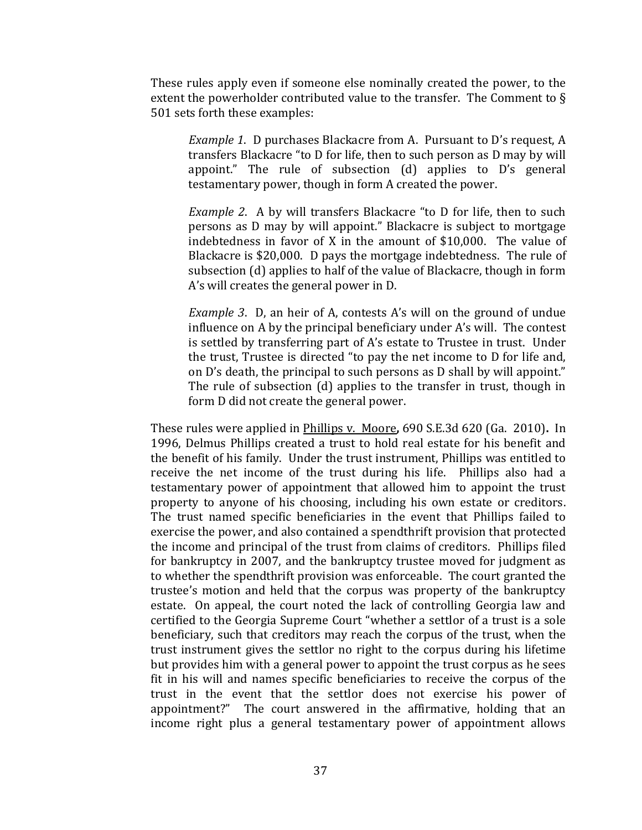These rules apply even if someone else nominally created the power, to the extent the powerholder contributed value to the transfer. The Comment to § 501 sets forth these examples:

*Example 1*. D purchases Blackacre from A. Pursuant to D's request, A transfers Blackacre "to D for life, then to such person as D may by will appoint." The rule of subsection (d) applies to D's general testamentary power, though in form A created the power.

*Example 2*. A by will transfers Blackacre "to D for life, then to such persons as D may by will appoint." Blackacre is subject to mortgage indebtedness in favor of X in the amount of \$10,000. The value of Blackacre is \$20,000. D pays the mortgage indebtedness. The rule of subsection (d) applies to half of the value of Blackacre, though in form A's will creates the general power in D.

*Example 3*. D, an heir of A, contests A's will on the ground of undue influence on A by the principal beneficiary under A's will. The contest is settled by transferring part of A's estate to Trustee in trust. Under the trust, Trustee is directed "to pay the net income to D for life and, on D's death, the principal to such persons as D shall by will appoint." The rule of subsection (d) applies to the transfer in trust, though in form D did not create the general power.

These rules were applied in Phillips v. Moore**,** 690 S.E.3d 620 (Ga. 2010)**.** In 1996, Delmus Phillips created a trust to hold real estate for his benefit and the benefit of his family. Under the trust instrument, Phillips was entitled to receive the net income of the trust during his life. Phillips also had a testamentary power of appointment that allowed him to appoint the trust property to anyone of his choosing, including his own estate or creditors. The trust named specific beneficiaries in the event that Phillips failed to exercise the power, and also contained a spendthrift provision that protected the income and principal of the trust from claims of creditors. Phillips filed for bankruptcy in 2007, and the bankruptcy trustee moved for judgment as to whether the spendthrift provision was enforceable. The court granted the trustee's motion and held that the corpus was property of the bankruptcy estate. On appeal, the court noted the lack of controlling Georgia law and certified to the Georgia Supreme Court "whether a settlor of a trust is a sole beneficiary, such that creditors may reach the corpus of the trust, when the trust instrument gives the settlor no right to the corpus during his lifetime but provides him with a general power to appoint the trust corpus as he sees fit in his will and names specific beneficiaries to receive the corpus of the trust in the event that the settlor does not exercise his power of appointment?" The court answered in the affirmative, holding that an income right plus a general testamentary power of appointment allows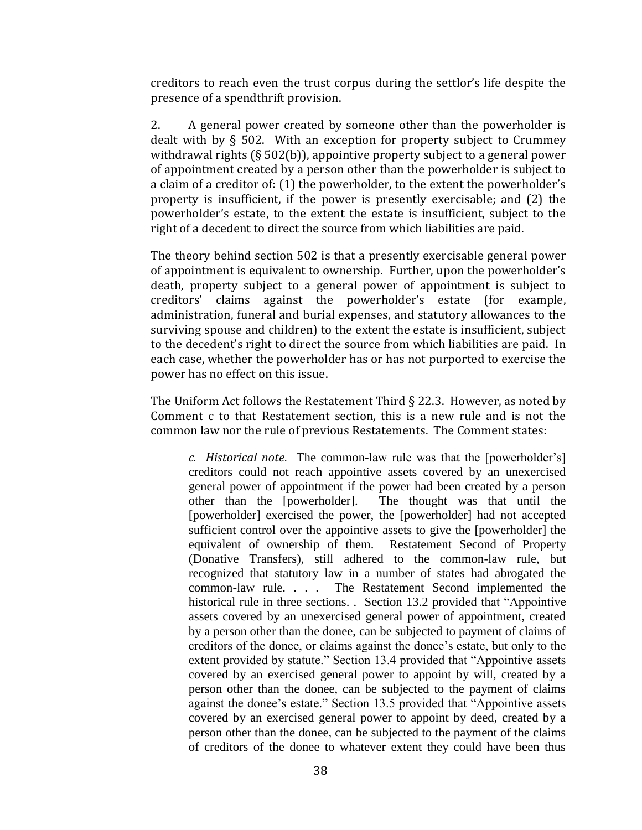creditors to reach even the trust corpus during the settlor's life despite the presence of a spendthrift provision.

2. A general power created by someone other than the powerholder is dealt with by § 502. With an exception for property subject to Crummey withdrawal rights (§ 502(b)), appointive property subject to a general power of appointment created by a person other than the powerholder is subject to a claim of a creditor of: (1) the powerholder, to the extent the powerholder's property is insufficient, if the power is presently exercisable; and (2) the powerholder's estate, to the extent the estate is insufficient, subject to the right of a decedent to direct the source from which liabilities are paid.

The theory behind section 502 is that a presently exercisable general power of appointment is equivalent to ownership. Further, upon the powerholder's death, property subject to a general power of appointment is subject to creditors' claims against the powerholder's estate (for example, administration, funeral and burial expenses, and statutory allowances to the surviving spouse and children) to the extent the estate is insufficient, subject to the decedent's right to direct the source from which liabilities are paid. In each case, whether the powerholder has or has not purported to exercise the power has no effect on this issue.

The Uniform Act follows the Restatement Third § 22.3. However, as noted by Comment c to that Restatement section, this is a new rule and is not the common law nor the rule of previous Restatements. The Comment states:

*c. Historical note.* The common-law rule was that the [powerholder's] creditors could not reach appointive assets covered by an unexercised general power of appointment if the power had been created by a person other than the [powerholder]. The thought was that until the [powerholder] exercised the power, the [powerholder] had not accepted sufficient control over the appointive assets to give the [powerholder] the equivalent of ownership of them. Restatement Second of Property (Donative Transfers), still adhered to the common-law rule, but recognized that statutory law in a number of states had abrogated the common-law rule. . . . The Restatement Second implemented the historical rule in three sections. . Section 13.2 provided that "Appointive assets covered by an unexercised general power of appointment, created by a person other than the donee, can be subjected to payment of claims of creditors of the donee, or claims against the donee's estate, but only to the extent provided by statute." Section 13.4 provided that "Appointive assets covered by an exercised general power to appoint by will, created by a person other than the donee, can be subjected to the payment of claims against the donee's estate." Section 13.5 provided that "Appointive assets covered by an exercised general power to appoint by deed, created by a person other than the donee, can be subjected to the payment of the claims of creditors of the donee to whatever extent they could have been thus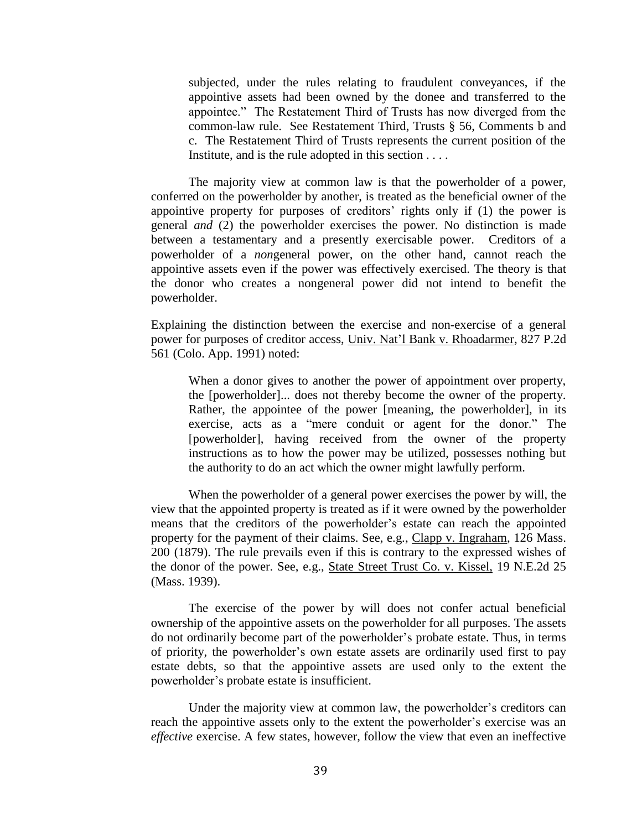subjected, under the rules relating to fraudulent conveyances, if the appointive assets had been owned by the donee and transferred to the appointee." The Restatement Third of Trusts has now diverged from the common-law rule. See Restatement Third, Trusts § 56, Comments b and c. The Restatement Third of Trusts represents the current position of the Institute, and is the rule adopted in this section . . . .

The majority view at common law is that the powerholder of a power, conferred on the powerholder by another, is treated as the beneficial owner of the appointive property for purposes of creditors' rights only if (1) the power is general *and* (2) the powerholder exercises the power. No distinction is made between a testamentary and a presently exercisable power. Creditors of a powerholder of a *non*general power, on the other hand, cannot reach the appointive assets even if the power was effectively exercised. The theory is that the donor who creates a nongeneral power did not intend to benefit the powerholder.

Explaining the distinction between the exercise and non-exercise of a general power for purposes of creditor access, Univ. Nat'l Bank v. Rhoadarmer, 827 P.2d 561 (Colo. App. 1991) noted:

When a donor gives to another the power of appointment over property, the [powerholder]... does not thereby become the owner of the property. Rather, the appointee of the power [meaning, the powerholder], in its exercise, acts as a "mere conduit or agent for the donor." The [powerholder], having received from the owner of the property instructions as to how the power may be utilized, possesses nothing but the authority to do an act which the owner might lawfully perform.

When the powerholder of a general power exercises the power by will, the view that the appointed property is treated as if it were owned by the powerholder means that the creditors of the powerholder's estate can reach the appointed property for the payment of their claims. See, e.g., Clapp v. Ingraham, 126 Mass. 200 (1879). The rule prevails even if this is contrary to the expressed wishes of the donor of the power. See, e.g., State Street Trust Co. v. Kissel, 19 N.E.2d 25 (Mass. 1939).

The exercise of the power by will does not confer actual beneficial ownership of the appointive assets on the powerholder for all purposes. The assets do not ordinarily become part of the powerholder's probate estate. Thus, in terms of priority, the powerholder's own estate assets are ordinarily used first to pay estate debts, so that the appointive assets are used only to the extent the powerholder's probate estate is insufficient.

Under the majority view at common law, the powerholder's creditors can reach the appointive assets only to the extent the powerholder's exercise was an *effective* exercise. A few states, however, follow the view that even an ineffective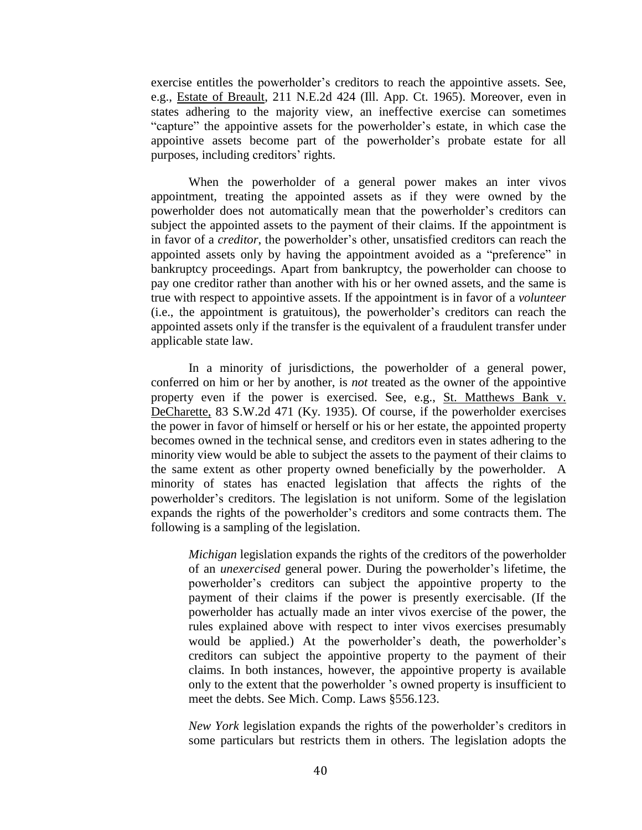exercise entitles the powerholder's creditors to reach the appointive assets. See, e.g., Estate of Breault, 211 N.E.2d 424 (Ill. App. Ct. 1965). Moreover, even in states adhering to the majority view, an ineffective exercise can sometimes "capture" the appointive assets for the powerholder's estate, in which case the appointive assets become part of the powerholder's probate estate for all purposes, including creditors' rights.

When the powerholder of a general power makes an inter vivos appointment, treating the appointed assets as if they were owned by the powerholder does not automatically mean that the powerholder's creditors can subject the appointed assets to the payment of their claims. If the appointment is in favor of a *creditor*, the powerholder's other, unsatisfied creditors can reach the appointed assets only by having the appointment avoided as a "preference" in bankruptcy proceedings. Apart from bankruptcy, the powerholder can choose to pay one creditor rather than another with his or her owned assets, and the same is true with respect to appointive assets. If the appointment is in favor of a *volunteer* (i.e., the appointment is gratuitous), the powerholder's creditors can reach the appointed assets only if the transfer is the equivalent of a fraudulent transfer under applicable state law.

In a minority of jurisdictions, the powerholder of a general power, conferred on him or her by another, is *not* treated as the owner of the appointive property even if the power is exercised. See, e.g., St. Matthews Bank v. DeCharette, 83 S.W.2d 471 (Ky. 1935). Of course, if the powerholder exercises the power in favor of himself or herself or his or her estate, the appointed property becomes owned in the technical sense, and creditors even in states adhering to the minority view would be able to subject the assets to the payment of their claims to the same extent as other property owned beneficially by the powerholder. A minority of states has enacted legislation that affects the rights of the powerholder's creditors. The legislation is not uniform. Some of the legislation expands the rights of the powerholder's creditors and some contracts them. The following is a sampling of the legislation.

*Michigan* legislation expands the rights of the creditors of the powerholder of an *unexercised* general power. During the powerholder's lifetime, the powerholder's creditors can subject the appointive property to the payment of their claims if the power is presently exercisable. (If the powerholder has actually made an inter vivos exercise of the power, the rules explained above with respect to inter vivos exercises presumably would be applied.) At the powerholder's death, the powerholder's creditors can subject the appointive property to the payment of their claims. In both instances, however, the appointive property is available only to the extent that the powerholder 's owned property is insufficient to meet the debts. See Mich. Comp. Laws §556.123.

*New York* legislation expands the rights of the powerholder's creditors in some particulars but restricts them in others. The legislation adopts the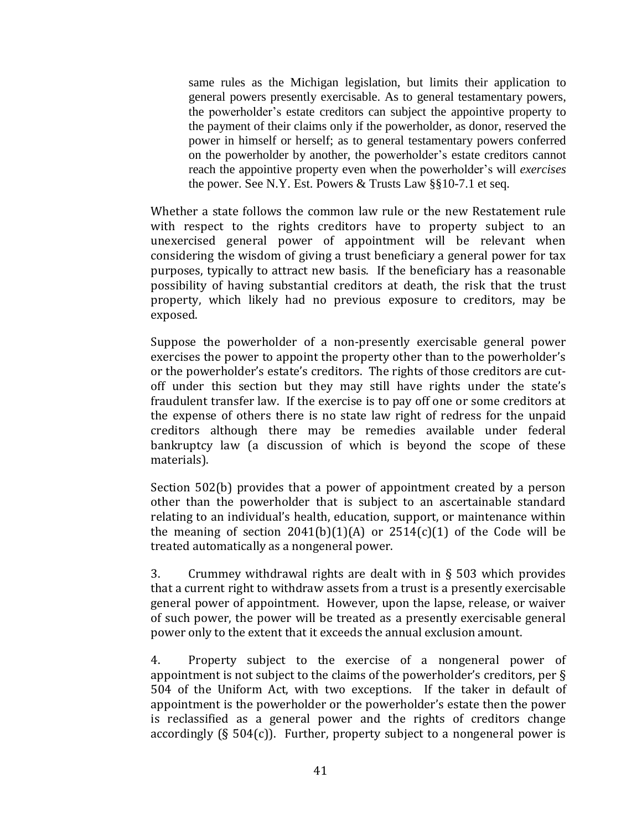same rules as the Michigan legislation, but limits their application to general powers presently exercisable. As to general testamentary powers, the powerholder's estate creditors can subject the appointive property to the payment of their claims only if the powerholder, as donor, reserved the power in himself or herself; as to general testamentary powers conferred on the powerholder by another, the powerholder's estate creditors cannot reach the appointive property even when the powerholder's will *exercises* the power. See N.Y. Est. Powers & Trusts Law §§10-7.1 et seq.

Whether a state follows the common law rule or the new Restatement rule with respect to the rights creditors have to property subject to an unexercised general power of appointment will be relevant when considering the wisdom of giving a trust beneficiary a general power for tax purposes, typically to attract new basis. If the beneficiary has a reasonable possibility of having substantial creditors at death, the risk that the trust property, which likely had no previous exposure to creditors, may be exposed.

Suppose the powerholder of a non-presently exercisable general power exercises the power to appoint the property other than to the powerholder's or the powerholder's estate's creditors. The rights of those creditors are cutoff under this section but they may still have rights under the state's fraudulent transfer law. If the exercise is to pay off one or some creditors at the expense of others there is no state law right of redress for the unpaid creditors although there may be remedies available under federal bankruptcy law (a discussion of which is beyond the scope of these materials).

Section 502(b) provides that a power of appointment created by a person other than the powerholder that is subject to an ascertainable standard relating to an individual's health, education, support, or maintenance within the meaning of section  $2041(b)(1)(A)$  or  $2514(c)(1)$  of the Code will be treated automatically as a nongeneral power.

3. Crummey withdrawal rights are dealt with in § 503 which provides that a current right to withdraw assets from a trust is a presently exercisable general power of appointment. However, upon the lapse, release, or waiver of such power, the power will be treated as a presently exercisable general power only to the extent that it exceeds the annual exclusion amount.

4. Property subject to the exercise of a nongeneral power of appointment is not subject to the claims of the powerholder's creditors, per § 504 of the Uniform Act, with two exceptions. If the taker in default of appointment is the powerholder or the powerholder's estate then the power is reclassified as a general power and the rights of creditors change accordingly  $(S 504(c))$ . Further, property subject to a nongeneral power is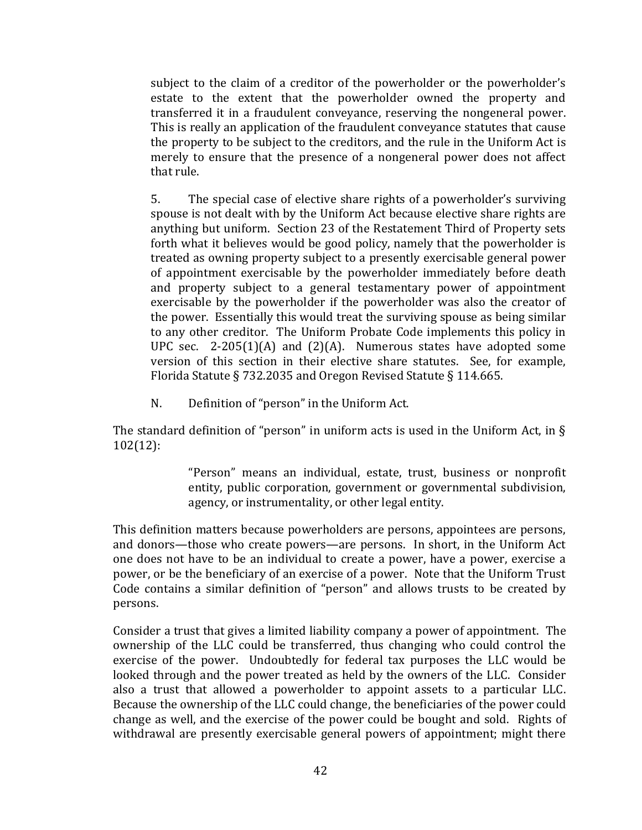subject to the claim of a creditor of the powerholder or the powerholder's estate to the extent that the powerholder owned the property and transferred it in a fraudulent conveyance, reserving the nongeneral power. This is really an application of the fraudulent conveyance statutes that cause the property to be subject to the creditors, and the rule in the Uniform Act is merely to ensure that the presence of a nongeneral power does not affect that rule.

5. The special case of elective share rights of a powerholder's surviving spouse is not dealt with by the Uniform Act because elective share rights are anything but uniform. Section 23 of the Restatement Third of Property sets forth what it believes would be good policy, namely that the powerholder is treated as owning property subject to a presently exercisable general power of appointment exercisable by the powerholder immediately before death and property subject to a general testamentary power of appointment exercisable by the powerholder if the powerholder was also the creator of the power. Essentially this would treat the surviving spouse as being similar to any other creditor. The Uniform Probate Code implements this policy in UPC sec. 2-205(1)(A) and (2)(A). Numerous states have adopted some version of this section in their elective share statutes. See, for example, Florida Statute § 732.2035 and Oregon Revised Statute § 114.665.

N. Definition of "person" in the Uniform Act.

The standard definition of "person" in uniform acts is used in the Uniform Act, in  $\S$ 102(12):

> "Person" means an individual, estate, trust, business or nonprofit entity, public corporation, government or governmental subdivision, agency, or instrumentality, or other legal entity.

This definition matters because powerholders are persons, appointees are persons, and donors—those who create powers—are persons. In short, in the Uniform Act one does not have to be an individual to create a power, have a power, exercise a power, or be the beneficiary of an exercise of a power. Note that the Uniform Trust Code contains a similar definition of "person" and allows trusts to be created by persons.

Consider a trust that gives a limited liability company a power of appointment. The ownership of the LLC could be transferred, thus changing who could control the exercise of the power. Undoubtedly for federal tax purposes the LLC would be looked through and the power treated as held by the owners of the LLC. Consider also a trust that allowed a powerholder to appoint assets to a particular LLC. Because the ownership of the LLC could change, the beneficiaries of the power could change as well, and the exercise of the power could be bought and sold. Rights of withdrawal are presently exercisable general powers of appointment; might there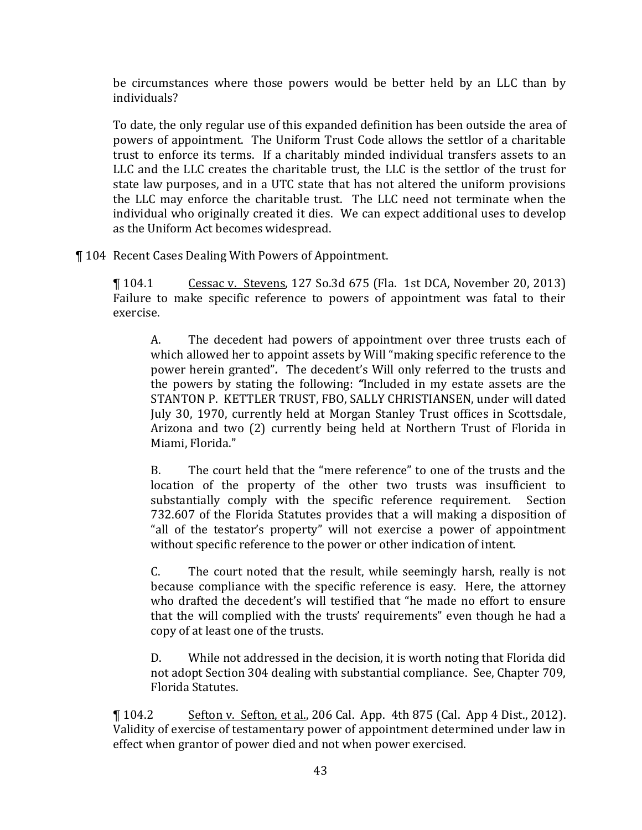be circumstances where those powers would be better held by an LLC than by individuals?

To date, the only regular use of this expanded definition has been outside the area of powers of appointment. The Uniform Trust Code allows the settlor of a charitable trust to enforce its terms. If a charitably minded individual transfers assets to an LLC and the LLC creates the charitable trust, the LLC is the settlor of the trust for state law purposes, and in a UTC state that has not altered the uniform provisions the LLC may enforce the charitable trust. The LLC need not terminate when the individual who originally created it dies. We can expect additional uses to develop as the Uniform Act becomes widespread.

¶ 104 Recent Cases Dealing With Powers of Appointment.

¶ 104.1 Cessac v. Stevens, 127 So.3d 675 (Fla. 1st DCA, November 20, 2013) Failure to make specific reference to powers of appointment was fatal to their exercise.

A. The decedent had powers of appointment over three trusts each of which allowed her to appoint assets by Will "making specific reference to the power herein granted"*.* The decedent's Will only referred to the trusts and the powers by stating the following: *"*Included in my estate assets are the STANTON P. KETTLER TRUST, FBO, SALLY CHRISTIANSEN, under will dated July 30, 1970, currently held at Morgan Stanley Trust offices in Scottsdale, Arizona and two (2) currently being held at Northern Trust of Florida in Miami, Florida."

B. The court held that the "mere reference" to one of the trusts and the location of the property of the other two trusts was insufficient to substantially comply with the specific reference requirement. Section 732.607 of the Florida Statutes provides that a will making a disposition of "all of the testator's property" will not exercise a power of appointment without specific reference to the power or other indication of intent.

C. The court noted that the result, while seemingly harsh, really is not because compliance with the specific reference is easy. Here, the attorney who drafted the decedent's will testified that "he made no effort to ensure that the will complied with the trusts' requirements" even though he had a copy of at least one of the trusts.

D. While not addressed in the decision, it is worth noting that Florida did not adopt Section 304 dealing with substantial compliance. See, Chapter 709, Florida Statutes.

¶ 104.2 Sefton v. Sefton, et al., 206 Cal. App. 4th 875 (Cal. App 4 Dist., 2012). Validity of exercise of testamentary power of appointment determined under law in effect when grantor of power died and not when power exercised.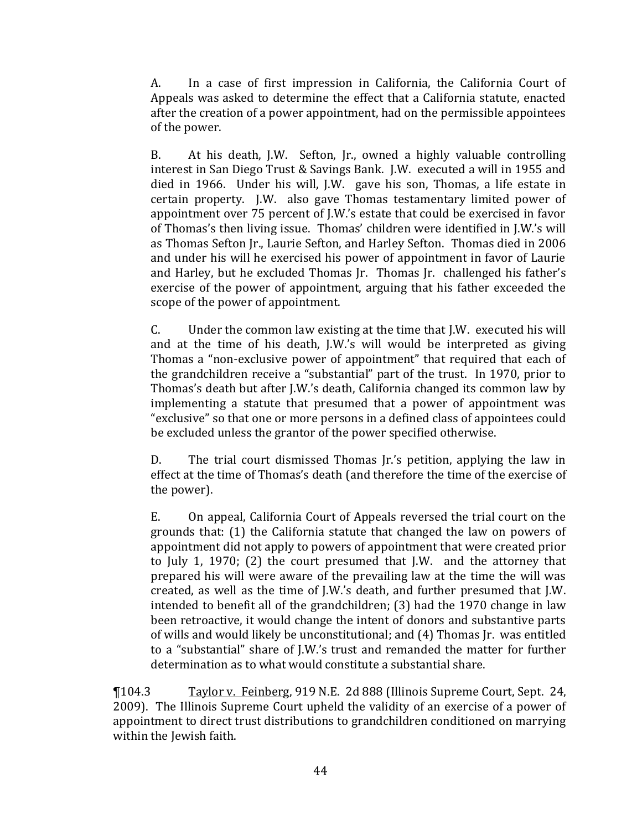A. In a case of first impression in California, the California Court of Appeals was asked to determine the effect that a California statute, enacted after the creation of a power appointment, had on the permissible appointees of the power.

B. At his death, J.W. Sefton, Jr., owned a highly valuable controlling interest in San Diego Trust & Savings Bank. J.W. executed a will in 1955 and died in 1966. Under his will, J.W. gave his son, Thomas, a life estate in certain property. J.W. also gave Thomas testamentary limited power of appointment over 75 percent of J.W.'s estate that could be exercised in favor of Thomas's then living issue. Thomas' children were identified in J.W.'s will as Thomas Sefton Jr., Laurie Sefton, and Harley Sefton. Thomas died in 2006 and under his will he exercised his power of appointment in favor of Laurie and Harley, but he excluded Thomas Jr. Thomas Jr. challenged his father's exercise of the power of appointment, arguing that his father exceeded the scope of the power of appointment.

C. Under the common law existing at the time that J.W. executed his will and at the time of his death, J.W.'s will would be interpreted as giving Thomas a "non-exclusive power of appointment" that required that each of the grandchildren receive a "substantial" part of the trust. In 1970, prior to Thomas's death but after J.W.'s death, California changed its common law by implementing a statute that presumed that a power of appointment was "exclusive" so that one or more persons in a defined class of appointees could be excluded unless the grantor of the power specified otherwise.

D. The trial court dismissed Thomas Jr.'s petition, applying the law in effect at the time of Thomas's death (and therefore the time of the exercise of the power).

E. On appeal, California Court of Appeals reversed the trial court on the grounds that: (1) the California statute that changed the law on powers of appointment did not apply to powers of appointment that were created prior to July 1, 1970; (2) the court presumed that J.W. and the attorney that prepared his will were aware of the prevailing law at the time the will was created, as well as the time of J.W.'s death, and further presumed that J.W. intended to benefit all of the grandchildren; (3) had the 1970 change in law been retroactive, it would change the intent of donors and substantive parts of wills and would likely be unconstitutional; and (4) Thomas Jr. was entitled to a "substantial" share of J.W.'s trust and remanded the matter for further determination as to what would constitute a substantial share.

¶104.3 Taylor v. Feinberg, 919 N.E. 2d 888 (Illinois Supreme Court, Sept. 24, 2009). The Illinois Supreme Court upheld the validity of an exercise of a power of appointment to direct trust distributions to grandchildren conditioned on marrying within the Jewish faith.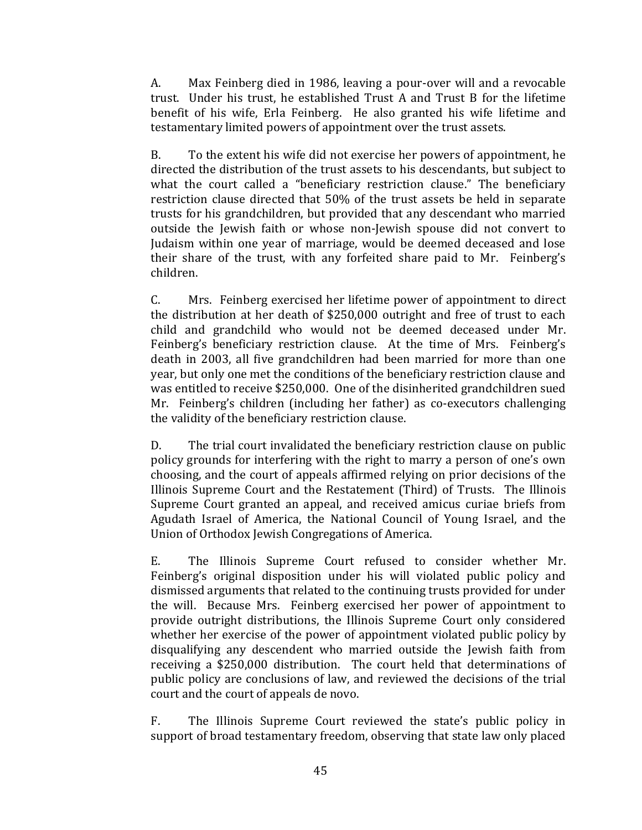A. Max Feinberg died in 1986, leaving a pour-over will and a revocable trust. Under his trust, he established Trust A and Trust B for the lifetime benefit of his wife, Erla Feinberg. He also granted his wife lifetime and testamentary limited powers of appointment over the trust assets.

B. To the extent his wife did not exercise her powers of appointment, he directed the distribution of the trust assets to his descendants, but subject to what the court called a "beneficiary restriction clause." The beneficiary restriction clause directed that 50% of the trust assets be held in separate trusts for his grandchildren, but provided that any descendant who married outside the Jewish faith or whose non-Jewish spouse did not convert to Judaism within one year of marriage, would be deemed deceased and lose their share of the trust, with any forfeited share paid to Mr. Feinberg's children.

C. Mrs. Feinberg exercised her lifetime power of appointment to direct the distribution at her death of \$250,000 outright and free of trust to each child and grandchild who would not be deemed deceased under Mr. Feinberg's beneficiary restriction clause. At the time of Mrs. Feinberg's death in 2003, all five grandchildren had been married for more than one year, but only one met the conditions of the beneficiary restriction clause and was entitled to receive \$250,000. One of the disinherited grandchildren sued Mr. Feinberg's children (including her father) as co-executors challenging the validity of the beneficiary restriction clause.

D. The trial court invalidated the beneficiary restriction clause on public policy grounds for interfering with the right to marry a person of one's own choosing, and the court of appeals affirmed relying on prior decisions of the Illinois Supreme Court and the Restatement (Third) of Trusts. The Illinois Supreme Court granted an appeal, and received amicus curiae briefs from Agudath Israel of America, the National Council of Young Israel, and the Union of Orthodox Jewish Congregations of America.

E. The Illinois Supreme Court refused to consider whether Mr. Feinberg's original disposition under his will violated public policy and dismissed arguments that related to the continuing trusts provided for under the will. Because Mrs. Feinberg exercised her power of appointment to provide outright distributions, the Illinois Supreme Court only considered whether her exercise of the power of appointment violated public policy by disqualifying any descendent who married outside the Jewish faith from receiving a \$250,000 distribution. The court held that determinations of public policy are conclusions of law, and reviewed the decisions of the trial court and the court of appeals de novo.

F. The Illinois Supreme Court reviewed the state's public policy in support of broad testamentary freedom, observing that state law only placed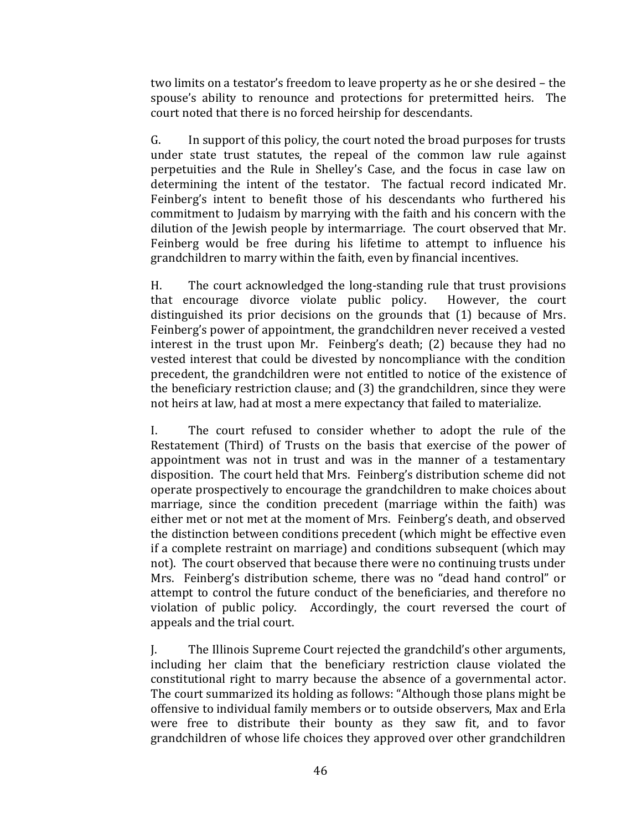two limits on a testator's freedom to leave property as he or she desired – the spouse's ability to renounce and protections for pretermitted heirs. The court noted that there is no forced heirship for descendants.

G. In support of this policy, the court noted the broad purposes for trusts under state trust statutes, the repeal of the common law rule against perpetuities and the Rule in Shelley's Case, and the focus in case law on determining the intent of the testator. The factual record indicated Mr. Feinberg's intent to benefit those of his descendants who furthered his commitment to Judaism by marrying with the faith and his concern with the dilution of the Jewish people by intermarriage. The court observed that Mr. Feinberg would be free during his lifetime to attempt to influence his grandchildren to marry within the faith, even by financial incentives.

H. The court acknowledged the long-standing rule that trust provisions that encourage divorce violate public policy. However, the court distinguished its prior decisions on the grounds that (1) because of Mrs. Feinberg's power of appointment, the grandchildren never received a vested interest in the trust upon Mr. Feinberg's death; (2) because they had no vested interest that could be divested by noncompliance with the condition precedent, the grandchildren were not entitled to notice of the existence of the beneficiary restriction clause; and (3) the grandchildren, since they were not heirs at law, had at most a mere expectancy that failed to materialize.

I. The court refused to consider whether to adopt the rule of the Restatement (Third) of Trusts on the basis that exercise of the power of appointment was not in trust and was in the manner of a testamentary disposition. The court held that Mrs. Feinberg's distribution scheme did not operate prospectively to encourage the grandchildren to make choices about marriage, since the condition precedent (marriage within the faith) was either met or not met at the moment of Mrs. Feinberg's death, and observed the distinction between conditions precedent (which might be effective even if a complete restraint on marriage) and conditions subsequent (which may not). The court observed that because there were no continuing trusts under Mrs. Feinberg's distribution scheme, there was no "dead hand control" or attempt to control the future conduct of the beneficiaries, and therefore no violation of public policy. Accordingly, the court reversed the court of appeals and the trial court.

J. The Illinois Supreme Court rejected the grandchild's other arguments, including her claim that the beneficiary restriction clause violated the constitutional right to marry because the absence of a governmental actor. The court summarized its holding as follows: "Although those plans might be offensive to individual family members or to outside observers, Max and Erla were free to distribute their bounty as they saw fit, and to favor grandchildren of whose life choices they approved over other grandchildren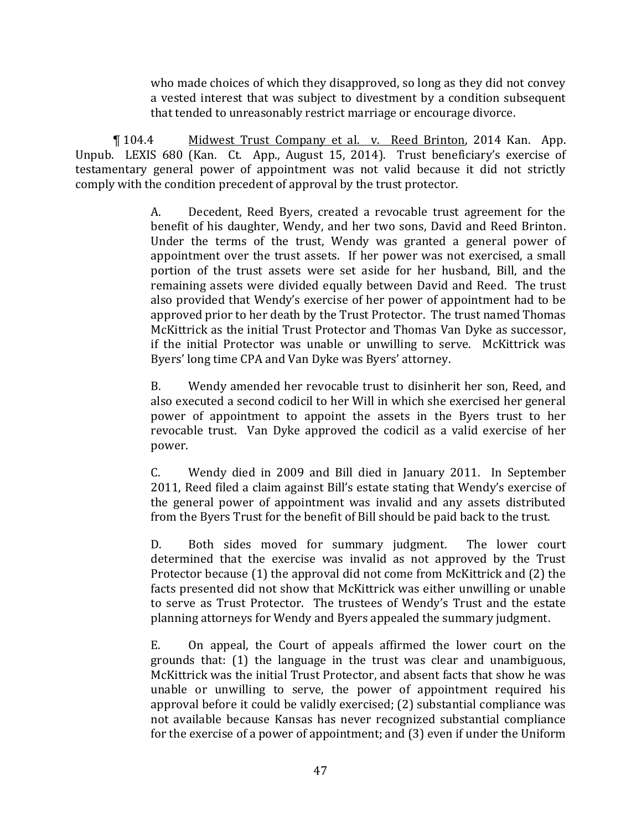who made choices of which they disapproved, so long as they did not convey a vested interest that was subject to divestment by a condition subsequent that tended to unreasonably restrict marriage or encourage divorce.

¶ 104.4 Midwest Trust Company et al. v. Reed Brinton, 2014 Kan. App. Unpub. LEXIS 680 (Kan. Ct. App., August 15, 2014). Trust beneficiary's exercise of testamentary general power of appointment was not valid because it did not strictly comply with the condition precedent of approval by the trust protector.

> A. Decedent, Reed Byers, created a revocable trust agreement for the benefit of his daughter, Wendy, and her two sons, David and Reed Brinton. Under the terms of the trust, Wendy was granted a general power of appointment over the trust assets. If her power was not exercised, a small portion of the trust assets were set aside for her husband, Bill, and the remaining assets were divided equally between David and Reed. The trust also provided that Wendy's exercise of her power of appointment had to be approved prior to her death by the Trust Protector. The trust named Thomas McKittrick as the initial Trust Protector and Thomas Van Dyke as successor, if the initial Protector was unable or unwilling to serve. McKittrick was Byers' long time CPA and Van Dyke was Byers' attorney.

> B. Wendy amended her revocable trust to disinherit her son, Reed, and also executed a second codicil to her Will in which she exercised her general power of appointment to appoint the assets in the Byers trust to her revocable trust. Van Dyke approved the codicil as a valid exercise of her power.

> C. Wendy died in 2009 and Bill died in January 2011. In September 2011, Reed filed a claim against Bill's estate stating that Wendy's exercise of the general power of appointment was invalid and any assets distributed from the Byers Trust for the benefit of Bill should be paid back to the trust.

> D. Both sides moved for summary judgment. The lower court determined that the exercise was invalid as not approved by the Trust Protector because (1) the approval did not come from McKittrick and (2) the facts presented did not show that McKittrick was either unwilling or unable to serve as Trust Protector. The trustees of Wendy's Trust and the estate planning attorneys for Wendy and Byers appealed the summary judgment.

> E. On appeal, the Court of appeals affirmed the lower court on the grounds that: (1) the language in the trust was clear and unambiguous, McKittrick was the initial Trust Protector, and absent facts that show he was unable or unwilling to serve, the power of appointment required his approval before it could be validly exercised; (2) substantial compliance was not available because Kansas has never recognized substantial compliance for the exercise of a power of appointment; and (3) even if under the Uniform